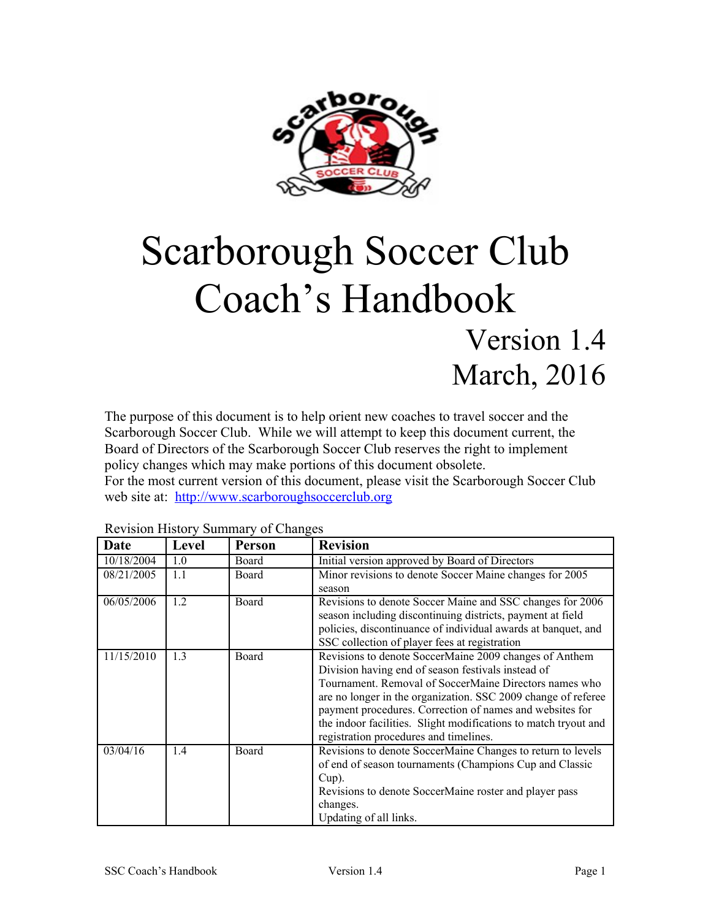

# Scarborough Soccer Club Coach's Handbook Version 1.4 March, 2016

The purpose of this document is to help orient new coaches to travel soccer and the Scarborough Soccer Club. While we will attempt to keep this document current, the Board of Directors of the Scarborough Soccer Club reserves the right to implement policy changes which may make portions of this document obsolete. For the most current version of this document, please visit the Scarborough Soccer Club web site at: [http://www.s](http://www.eteamz.com/ssc)carboroughsoccerclub.org

| Date       | Level | Person | <b>Revision</b>                                                                                                                                                                                                                                                                                                                                                                                                  |
|------------|-------|--------|------------------------------------------------------------------------------------------------------------------------------------------------------------------------------------------------------------------------------------------------------------------------------------------------------------------------------------------------------------------------------------------------------------------|
| 10/18/2004 | 1.0   | Board  | Initial version approved by Board of Directors                                                                                                                                                                                                                                                                                                                                                                   |
| 08/21/2005 | 1.1   | Board  | Minor revisions to denote Soccer Maine changes for 2005<br>season                                                                                                                                                                                                                                                                                                                                                |
| 06/05/2006 | 1.2   | Board  | Revisions to denote Soccer Maine and SSC changes for 2006<br>season including discontinuing districts, payment at field<br>policies, discontinuance of individual awards at banquet, and<br>SSC collection of player fees at registration                                                                                                                                                                        |
| 11/15/2010 | 1.3   | Board  | Revisions to denote SoccerMaine 2009 changes of Anthem<br>Division having end of season festivals instead of<br>Tournament. Removal of SoccerMaine Directors names who<br>are no longer in the organization. SSC 2009 change of referee<br>payment procedures. Correction of names and websites for<br>the indoor facilities. Slight modifications to match tryout and<br>registration procedures and timelines. |
| 03/04/16   | 1.4   | Board  | Revisions to denote SoccerMaine Changes to return to levels<br>of end of season tournaments (Champions Cup and Classic<br>$Cup$ ).<br>Revisions to denote SoccerMaine roster and player pass<br>changes.<br>Updating of all links.                                                                                                                                                                               |

#### <span id="page-0-0"></span>Revision History Summary of Changes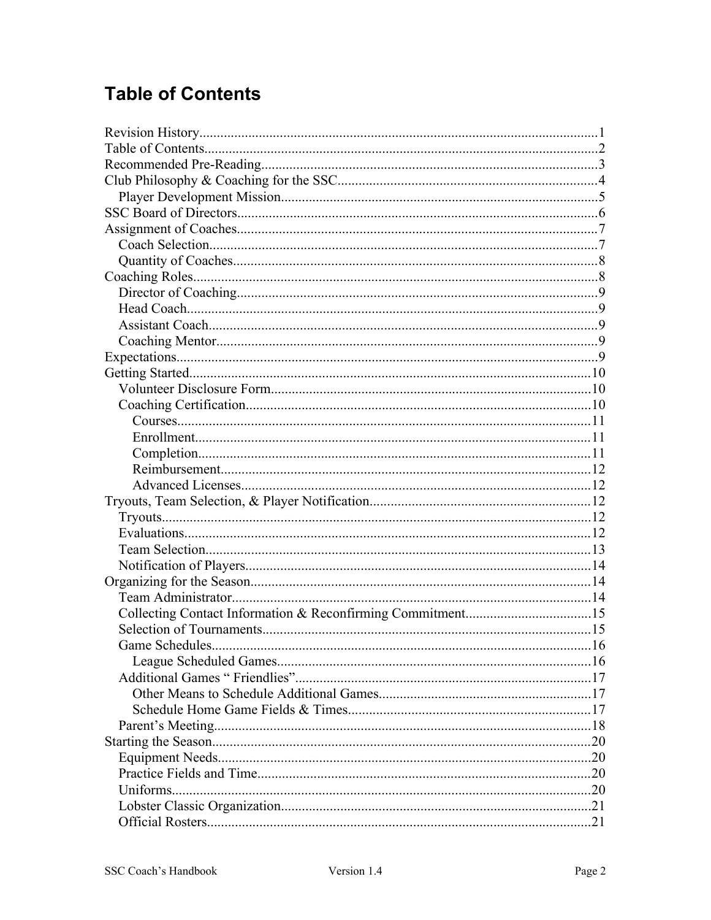# <span id="page-1-1"></span>**Table of Contents**

<span id="page-1-0"></span>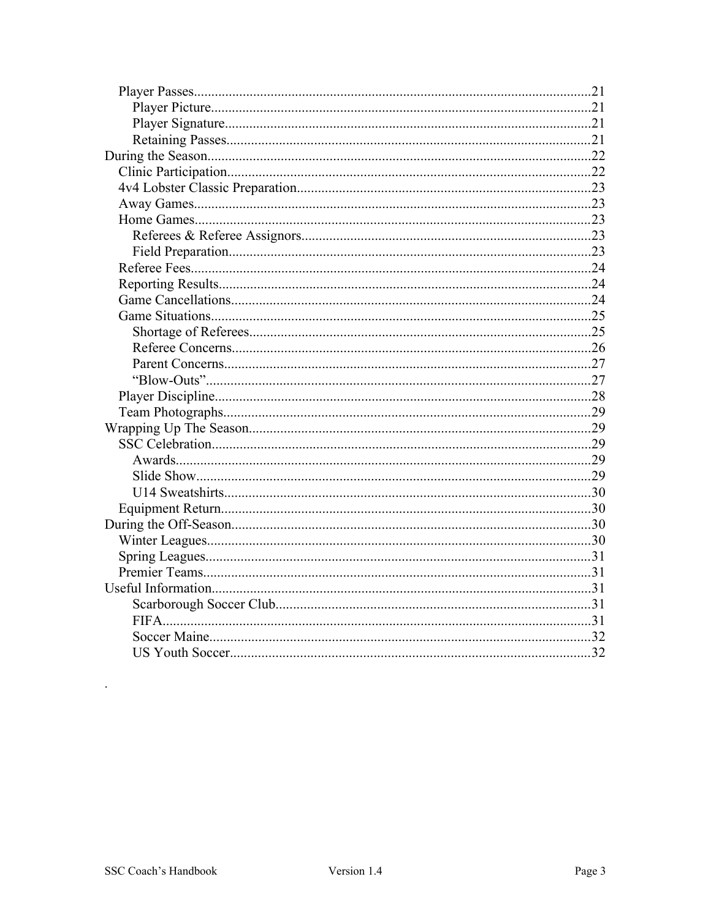<span id="page-2-1"></span>

<span id="page-2-0"></span> $\bar{z}$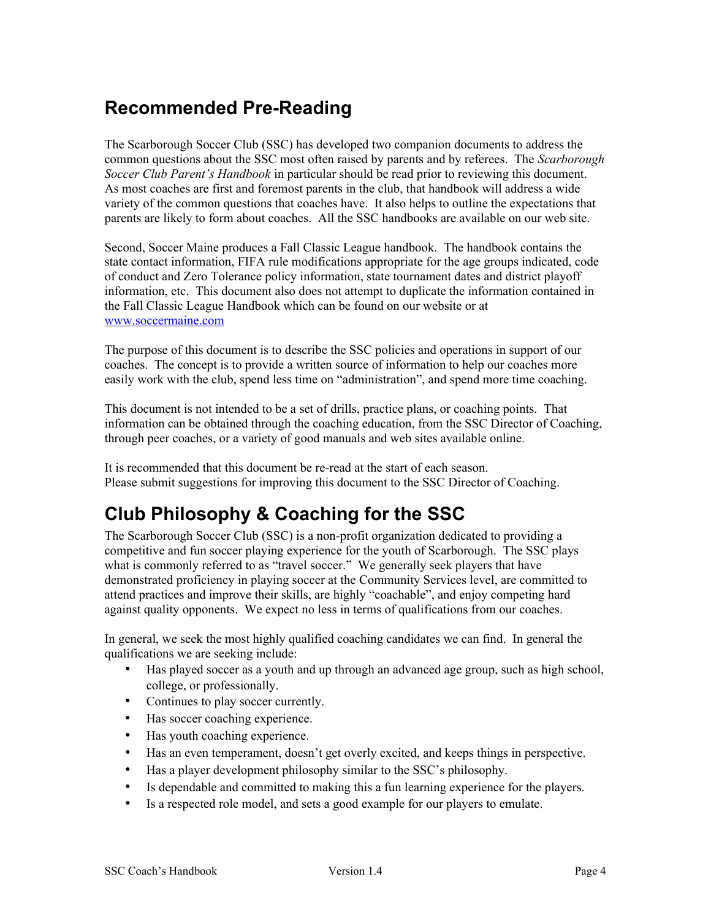# **Recommended Pre-Reading**

The Scarborough Soccer Club (SSC) has developed two companion documents to address the common questions about the SSC most often raised by parents and by referees. The *Scarborough Soccer Club Parent's Handbook* in particular should be read prior to reviewing this document. As most coaches are first and foremost parents in the club, that handbook will address a wide variety of the common questions that coaches have. It also helps to outline the expectations that parents are likely to form about coaches. All the SSC handbooks are available on our web site.

Second, Soccer Maine produces a Fall Classic League handbook. The handbook contains the state contact information, FIFA rule modifications appropriate for the age groups indicated, code of conduct and Zero Tolerance policy information, state tournament dates and district playoff information, etc. This document also does not attempt to duplicate the information contained in the Fall Classic League Handbook which can be found on our website or at [www.soccermaine.com](http://www.soccermaine.com/)

The purpose of this document is to describe the SSC policies and operations in support of our coaches. The concept is to provide a written source of information to help our coaches more easily work with the club, spend less time on "administration", and spend more time coaching.

This document is not intended to be a set of drills, practice plans, or coaching points. That information can be obtained through the coaching education, from the SSC Director of Coaching, through peer coaches, or a variety of good manuals and web sites available online.

It is recommended that this document be re-read at the start of each season. Please submit suggestions for improving this document to the SSC Director of Coaching.

# <span id="page-3-0"></span>**Club Philosophy & Coaching for the SSC**

The Scarborough Soccer Club (SSC) is a non-profit organization dedicated to providing a competitive and fun soccer playing experience for the youth of Scarborough. The SSC plays what is commonly referred to as "travel soccer." We generally seek players that have demonstrated proficiency in playing soccer at the Community Services level, are committed to attend practices and improve their skills, are highly "coachable", and enjoy competing hard against quality opponents. We expect no less in terms of qualifications from our coaches.

In general, we seek the most highly qualified coaching candidates we can find. In general the qualifications we are seeking include:

- Has played soccer as a youth and up through an advanced age group, such as high school, college, or professionally.
- Continues to play soccer currently.
- Has soccer coaching experience.
- Has youth coaching experience.
- Has an even temperament, doesn't get overly excited, and keeps things in perspective.
- Has a player development philosophy similar to the SSC's philosophy.
- Is dependable and committed to making this a fun learning experience for the players.
- Is a respected role model, and sets a good example for our players to emulate.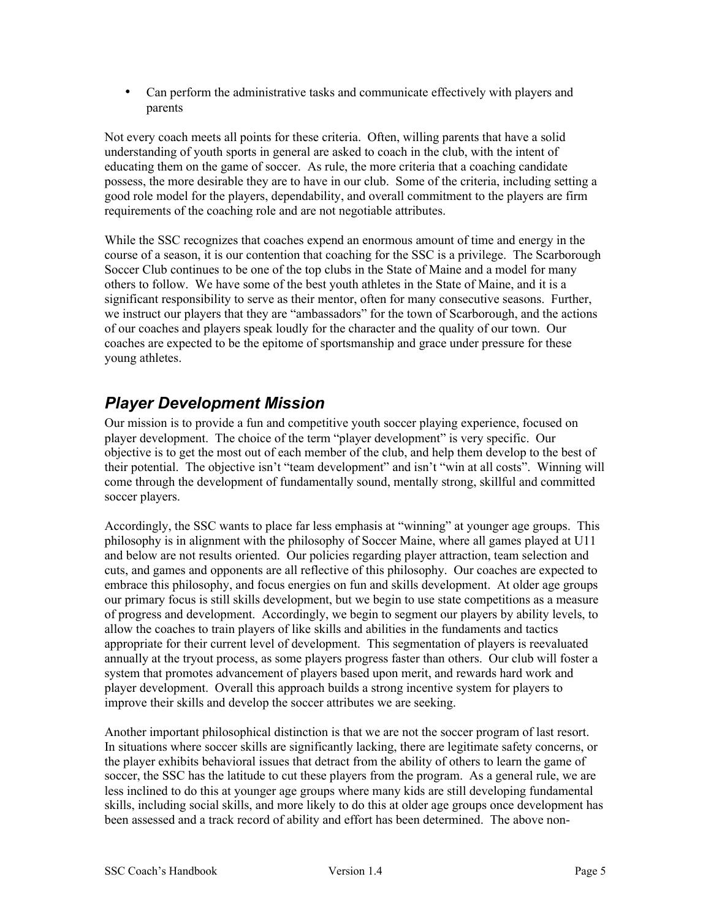• Can perform the administrative tasks and communicate effectively with players and parents

Not every coach meets all points for these criteria. Often, willing parents that have a solid understanding of youth sports in general are asked to coach in the club, with the intent of educating them on the game of soccer. As rule, the more criteria that a coaching candidate possess, the more desirable they are to have in our club. Some of the criteria, including setting a good role model for the players, dependability, and overall commitment to the players are firm requirements of the coaching role and are not negotiable attributes.

While the SSC recognizes that coaches expend an enormous amount of time and energy in the course of a season, it is our contention that coaching for the SSC is a privilege. The Scarborough Soccer Club continues to be one of the top clubs in the State of Maine and a model for many others to follow. We have some of the best youth athletes in the State of Maine, and it is a significant responsibility to serve as their mentor, often for many consecutive seasons. Further, we instruct our players that they are "ambassadors" for the town of Scarborough, and the actions of our coaches and players speak loudly for the character and the quality of our town. Our coaches are expected to be the epitome of sportsmanship and grace under pressure for these young athletes.

#### <span id="page-4-0"></span>*Player Development Mission*

Our mission is to provide a fun and competitive youth soccer playing experience, focused on player development. The choice of the term "player development" is very specific. Our objective is to get the most out of each member of the club, and help them develop to the best of their potential. The objective isn't "team development" and isn't "win at all costs". Winning will come through the development of fundamentally sound, mentally strong, skillful and committed soccer players.

Accordingly, the SSC wants to place far less emphasis at "winning" at younger age groups. This philosophy is in alignment with the philosophy of Soccer Maine, where all games played at U11 and below are not results oriented. Our policies regarding player attraction, team selection and cuts, and games and opponents are all reflective of this philosophy. Our coaches are expected to embrace this philosophy, and focus energies on fun and skills development. At older age groups our primary focus is still skills development, but we begin to use state competitions as a measure of progress and development. Accordingly, we begin to segment our players by ability levels, to allow the coaches to train players of like skills and abilities in the fundaments and tactics appropriate for their current level of development. This segmentation of players is reevaluated annually at the tryout process, as some players progress faster than others. Our club will foster a system that promotes advancement of players based upon merit, and rewards hard work and player development. Overall this approach builds a strong incentive system for players to improve their skills and develop the soccer attributes we are seeking.

Another important philosophical distinction is that we are not the soccer program of last resort. In situations where soccer skills are significantly lacking, there are legitimate safety concerns, or the player exhibits behavioral issues that detract from the ability of others to learn the game of soccer, the SSC has the latitude to cut these players from the program. As a general rule, we are less inclined to do this at younger age groups where many kids are still developing fundamental skills, including social skills, and more likely to do this at older age groups once development has been assessed and a track record of ability and effort has been determined. The above non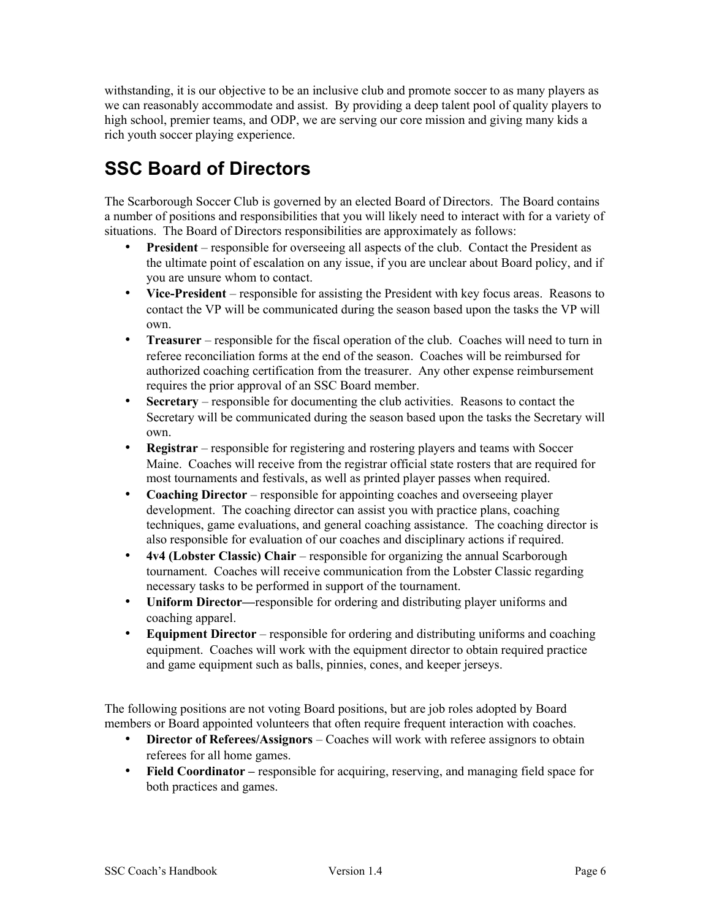withstanding, it is our objective to be an inclusive club and promote soccer to as many players as we can reasonably accommodate and assist. By providing a deep talent pool of quality players to high school, premier teams, and ODP, we are serving our core mission and giving many kids a rich youth soccer playing experience.

# <span id="page-5-0"></span>**SSC Board of Directors**

The Scarborough Soccer Club is governed by an elected Board of Directors. The Board contains a number of positions and responsibilities that you will likely need to interact with for a variety of situations. The Board of Directors responsibilities are approximately as follows:

- **President** responsible for overseeing all aspects of the club. Contact the President as the ultimate point of escalation on any issue, if you are unclear about Board policy, and if you are unsure whom to contact.
- **Vice-President** responsible for assisting the President with key focus areas. Reasons to contact the VP will be communicated during the season based upon the tasks the VP will own.
- **Treasurer** responsible for the fiscal operation of the club. Coaches will need to turn in referee reconciliation forms at the end of the season. Coaches will be reimbursed for authorized coaching certification from the treasurer. Any other expense reimbursement requires the prior approval of an SSC Board member.
- **Secretary** responsible for documenting the club activities. Reasons to contact the Secretary will be communicated during the season based upon the tasks the Secretary will own.
- **Registrar** responsible for registering and rostering players and teams with Soccer Maine. Coaches will receive from the registrar official state rosters that are required for most tournaments and festivals, as well as printed player passes when required.
- **Coaching Director** responsible for appointing coaches and overseeing player development. The coaching director can assist you with practice plans, coaching techniques, game evaluations, and general coaching assistance. The coaching director is also responsible for evaluation of our coaches and disciplinary actions if required.
- **4v4 (Lobster Classic) Chair** responsible for organizing the annual Scarborough tournament. Coaches will receive communication from the Lobster Classic regarding necessary tasks to be performed in support of the tournament.
- **Uniform Director—**responsible for ordering and distributing player uniforms and coaching apparel.
- **Equipment Director** responsible for ordering and distributing uniforms and coaching equipment. Coaches will work with the equipment director to obtain required practice and game equipment such as balls, pinnies, cones, and keeper jerseys.

The following positions are not voting Board positions, but are job roles adopted by Board members or Board appointed volunteers that often require frequent interaction with coaches.

- **Director of Referees/Assignors** Coaches will work with referee assignors to obtain referees for all home games.
- **Field Coordinator** responsible for acquiring, reserving, and managing field space for both practices and games.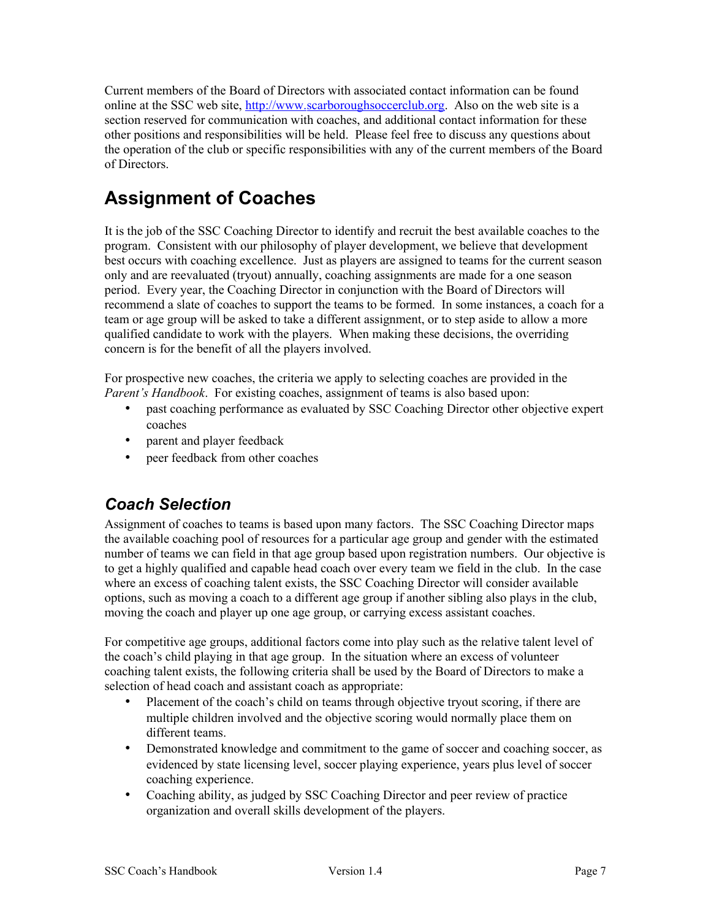Current members of the Board of Directors with associated contact information can be found online at the SSC web site, [http://www.s](http://www.eteamz.com/ssc)carboroughsoccerclub.org. Also on the web site is a section reserved for communication with coaches, and additional contact information for these other positions and responsibilities will be held. Please feel free to discuss any questions about the operation of the club or specific responsibilities with any of the current members of the Board of Directors.

# <span id="page-6-1"></span>**Assignment of Coaches**

It is the job of the SSC Coaching Director to identify and recruit the best available coaches to the program. Consistent with our philosophy of player development, we believe that development best occurs with coaching excellence. Just as players are assigned to teams for the current season only and are reevaluated (tryout) annually, coaching assignments are made for a one season period. Every year, the Coaching Director in conjunction with the Board of Directors will recommend a slate of coaches to support the teams to be formed. In some instances, a coach for a team or age group will be asked to take a different assignment, or to step aside to allow a more qualified candidate to work with the players. When making these decisions, the overriding concern is for the benefit of all the players involved.

For prospective new coaches, the criteria we apply to selecting coaches are provided in the *Parent's Handbook.* For existing coaches, assignment of teams is also based upon:

- past coaching performance as evaluated by SSC Coaching Director other objective expert coaches
- parent and player feedback
- peer feedback from other coaches

# <span id="page-6-0"></span>*Coach Selection*

Assignment of coaches to teams is based upon many factors. The SSC Coaching Director maps the available coaching pool of resources for a particular age group and gender with the estimated number of teams we can field in that age group based upon registration numbers. Our objective is to get a highly qualified and capable head coach over every team we field in the club. In the case where an excess of coaching talent exists, the SSC Coaching Director will consider available options, such as moving a coach to a different age group if another sibling also plays in the club, moving the coach and player up one age group, or carrying excess assistant coaches.

For competitive age groups, additional factors come into play such as the relative talent level of the coach's child playing in that age group. In the situation where an excess of volunteer coaching talent exists, the following criteria shall be used by the Board of Directors to make a selection of head coach and assistant coach as appropriate:

- Placement of the coach's child on teams through objective tryout scoring, if there are multiple children involved and the objective scoring would normally place them on different teams.
- Demonstrated knowledge and commitment to the game of soccer and coaching soccer, as evidenced by state licensing level, soccer playing experience, years plus level of soccer coaching experience.
- Coaching ability, as judged by SSC Coaching Director and peer review of practice organization and overall skills development of the players.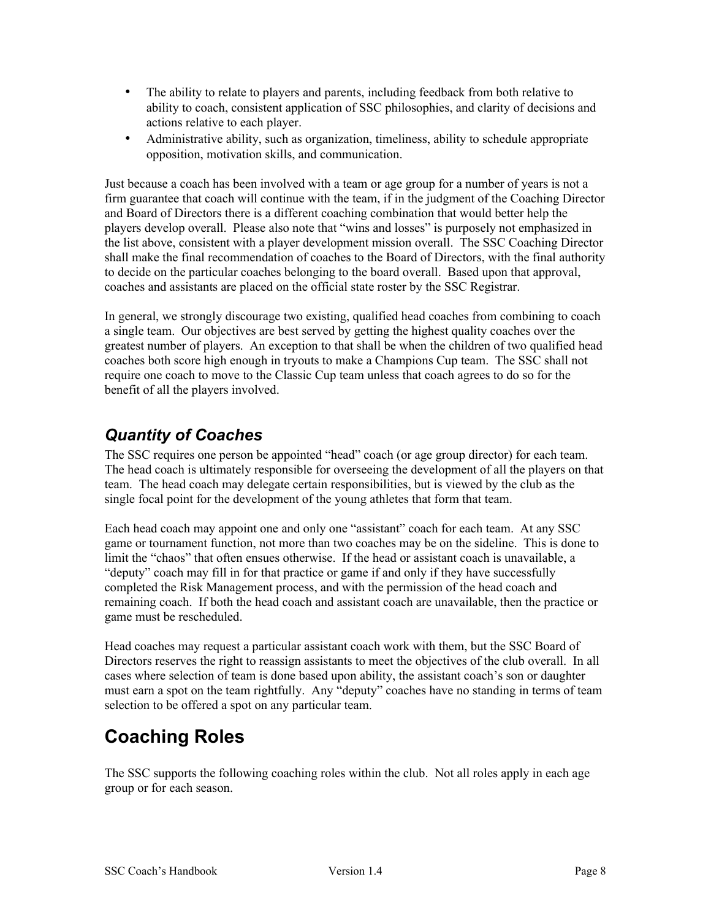- The ability to relate to players and parents, including feedback from both relative to ability to coach, consistent application of SSC philosophies, and clarity of decisions and actions relative to each player.
- Administrative ability, such as organization, timeliness, ability to schedule appropriate opposition, motivation skills, and communication.

Just because a coach has been involved with a team or age group for a number of years is not a firm guarantee that coach will continue with the team, if in the judgment of the Coaching Director and Board of Directors there is a different coaching combination that would better help the players develop overall. Please also note that "wins and losses" is purposely not emphasized in the list above, consistent with a player development mission overall. The SSC Coaching Director shall make the final recommendation of coaches to the Board of Directors, with the final authority to decide on the particular coaches belonging to the board overall. Based upon that approval, coaches and assistants are placed on the official state roster by the SSC Registrar.

In general, we strongly discourage two existing, qualified head coaches from combining to coach a single team. Our objectives are best served by getting the highest quality coaches over the greatest number of players. An exception to that shall be when the children of two qualified head coaches both score high enough in tryouts to make a Champions Cup team. The SSC shall not require one coach to move to the Classic Cup team unless that coach agrees to do so for the benefit of all the players involved.

## <span id="page-7-1"></span>*Quantity of Coaches*

The SSC requires one person be appointed "head" coach (or age group director) for each team. The head coach is ultimately responsible for overseeing the development of all the players on that team. The head coach may delegate certain responsibilities, but is viewed by the club as the single focal point for the development of the young athletes that form that team.

Each head coach may appoint one and only one "assistant" coach for each team. At any SSC game or tournament function, not more than two coaches may be on the sideline. This is done to limit the "chaos" that often ensues otherwise. If the head or assistant coach is unavailable, a "deputy" coach may fill in for that practice or game if and only if they have successfully completed the Risk Management process, and with the permission of the head coach and remaining coach. If both the head coach and assistant coach are unavailable, then the practice or game must be rescheduled.

Head coaches may request a particular assistant coach work with them, but the SSC Board of Directors reserves the right to reassign assistants to meet the objectives of the club overall. In all cases where selection of team is done based upon ability, the assistant coach's son or daughter must earn a spot on the team rightfully. Any "deputy" coaches have no standing in terms of team selection to be offered a spot on any particular team.

# <span id="page-7-0"></span>**Coaching Roles**

The SSC supports the following coaching roles within the club. Not all roles apply in each age group or for each season.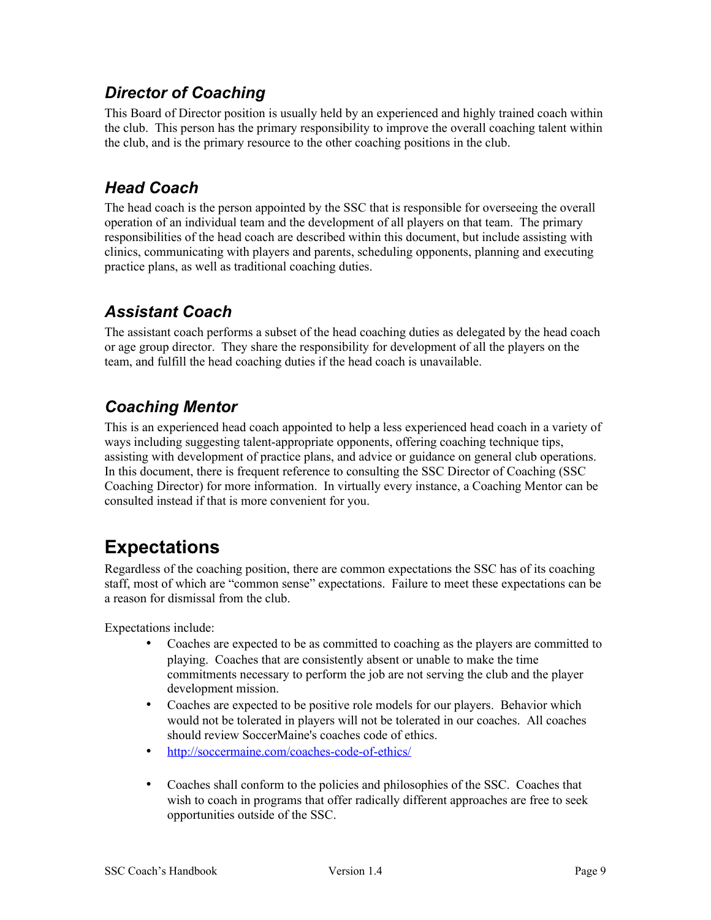## <span id="page-8-4"></span>*Director of Coaching*

This Board of Director position is usually held by an experienced and highly trained coach within the club. This person has the primary responsibility to improve the overall coaching talent within the club, and is the primary resource to the other coaching positions in the club.

# <span id="page-8-3"></span>*Head Coach*

The head coach is the person appointed by the SSC that is responsible for overseeing the overall operation of an individual team and the development of all players on that team. The primary responsibilities of the head coach are described within this document, but include assisting with clinics, communicating with players and parents, scheduling opponents, planning and executing practice plans, as well as traditional coaching duties.

# <span id="page-8-2"></span>*Assistant Coach*

The assistant coach performs a subset of the head coaching duties as delegated by the head coach or age group director. They share the responsibility for development of all the players on the team, and fulfill the head coaching duties if the head coach is unavailable.

# <span id="page-8-1"></span>*Coaching Mentor*

This is an experienced head coach appointed to help a less experienced head coach in a variety of ways including suggesting talent-appropriate opponents, offering coaching technique tips, assisting with development of practice plans, and advice or guidance on general club operations. In this document, there is frequent reference to consulting the SSC Director of Coaching (SSC Coaching Director) for more information. In virtually every instance, a Coaching Mentor can be consulted instead if that is more convenient for you.

# <span id="page-8-0"></span>**Expectations**

Regardless of the coaching position, there are common expectations the SSC has of its coaching staff, most of which are "common sense" expectations. Failure to meet these expectations can be a reason for dismissal from the club.

Expectations include:

- Coaches are expected to be as committed to coaching as the players are committed to playing. Coaches that are consistently absent or unable to make the time commitments necessary to perform the job are not serving the club and the player development mission.
- Coaches are expected to be positive role models for our players. Behavior which would not be tolerated in players will not be tolerated in our coaches. All coaches should review SoccerMaine's coaches code of ethics.
- <http://soccermaine.com/coaches-code-of-ethics/>
- Coaches shall conform to the policies and philosophies of the SSC. Coaches that wish to coach in programs that offer radically different approaches are free to seek opportunities outside of the SSC.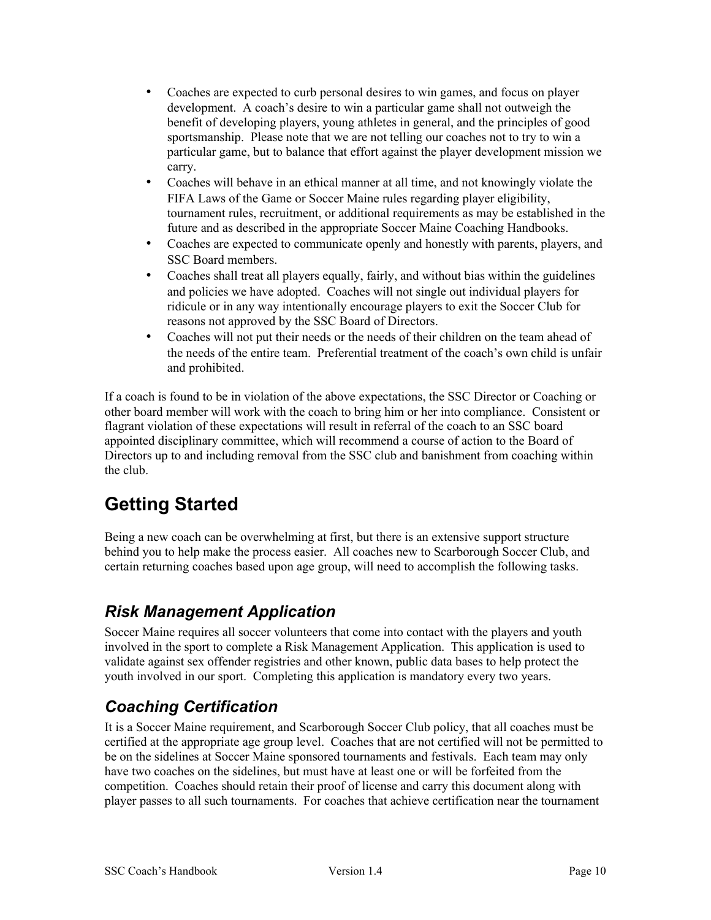- Coaches are expected to curb personal desires to win games, and focus on player development. A coach's desire to win a particular game shall not outweigh the benefit of developing players, young athletes in general, and the principles of good sportsmanship. Please note that we are not telling our coaches not to try to win a particular game, but to balance that effort against the player development mission we carry.
- Coaches will behave in an ethical manner at all time, and not knowingly violate the FIFA Laws of the Game or Soccer Maine rules regarding player eligibility, tournament rules, recruitment, or additional requirements as may be established in the future and as described in the appropriate Soccer Maine Coaching Handbooks.
- Coaches are expected to communicate openly and honestly with parents, players, and SSC Board members.
- Coaches shall treat all players equally, fairly, and without bias within the guidelines and policies we have adopted. Coaches will not single out individual players for ridicule or in any way intentionally encourage players to exit the Soccer Club for reasons not approved by the SSC Board of Directors.
- Coaches will not put their needs or the needs of their children on the team ahead of the needs of the entire team. Preferential treatment of the coach's own child is unfair and prohibited.

If a coach is found to be in violation of the above expectations, the SSC Director or Coaching or other board member will work with the coach to bring him or her into compliance. Consistent or flagrant violation of these expectations will result in referral of the coach to an SSC board appointed disciplinary committee, which will recommend a course of action to the Board of Directors up to and including removal from the SSC club and banishment from coaching within the club.

# <span id="page-9-2"></span>**Getting Started**

Being a new coach can be overwhelming at first, but there is an extensive support structure behind you to help make the process easier. All coaches new to Scarborough Soccer Club, and certain returning coaches based upon age group, will need to accomplish the following tasks.

# <span id="page-9-1"></span>*Risk Management Application*

Soccer Maine requires all soccer volunteers that come into contact with the players and youth involved in the sport to complete a Risk Management Application. This application is used to validate against sex offender registries and other known, public data bases to help protect the youth involved in our sport. Completing this application is mandatory every two years.

# <span id="page-9-0"></span>*Coaching Certification*

It is a Soccer Maine requirement, and Scarborough Soccer Club policy, that all coaches must be certified at the appropriate age group level. Coaches that are not certified will not be permitted to be on the sidelines at Soccer Maine sponsored tournaments and festivals. Each team may only have two coaches on the sidelines, but must have at least one or will be forfeited from the competition. Coaches should retain their proof of license and carry this document along with player passes to all such tournaments. For coaches that achieve certification near the tournament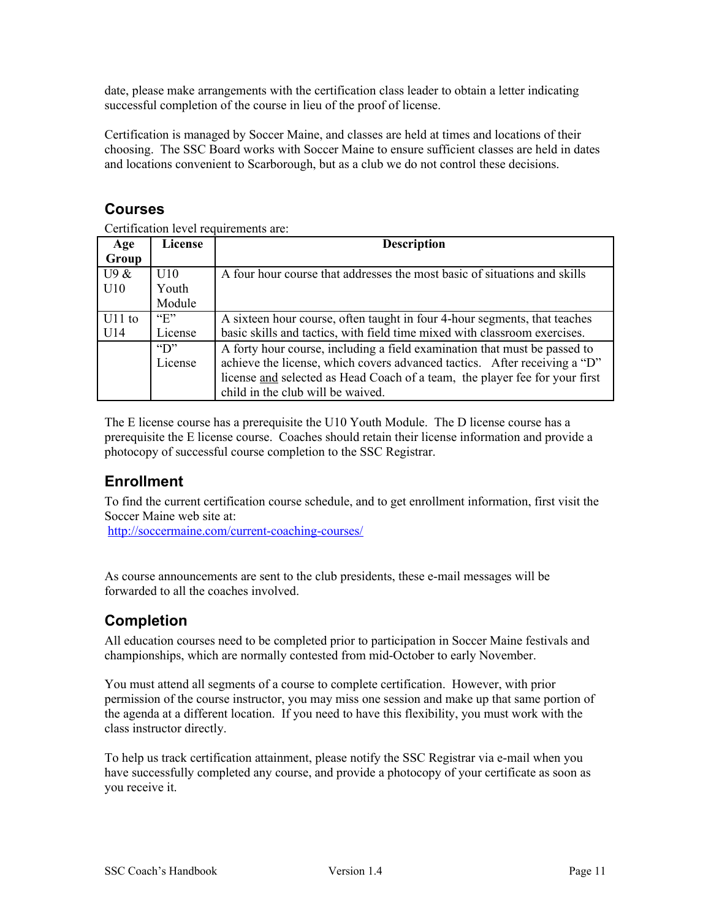date, please make arrangements with the certification class leader to obtain a letter indicating successful completion of the course in lieu of the proof of license.

Certification is managed by Soccer Maine, and classes are held at times and locations of their choosing. The SSC Board works with Soccer Maine to ensure sufficient classes are held in dates and locations convenient to Scarborough, but as a club we do not control these decisions.

#### <span id="page-10-2"></span>**Courses**

Certification level requirements are:

| Age      | License          | <b>Description</b>                                                          |  |
|----------|------------------|-----------------------------------------------------------------------------|--|
| Group    |                  |                                                                             |  |
| U9 &     | U10              | A four hour course that addresses the most basic of situations and skills   |  |
| U10      | Youth            |                                                                             |  |
|          | Module           |                                                                             |  |
| $U11$ to | $E^{\prime}$     | A sixteen hour course, often taught in four 4-hour segments, that teaches   |  |
| U14      | License          | basic skills and tactics, with field time mixed with classroom exercises.   |  |
|          | $\mathrm{``D''}$ | A forty hour course, including a field examination that must be passed to   |  |
|          | License          | achieve the license, which covers advanced tactics. After receiving a "D"   |  |
|          |                  | license and selected as Head Coach of a team, the player fee for your first |  |
|          |                  | child in the club will be waived.                                           |  |

The E license course has a prerequisite the U10 Youth Module. The D license course has a prerequisite the E license course. Coaches should retain their license information and provide a photocopy of successful course completion to the SSC Registrar.

#### <span id="page-10-1"></span>**Enrollment**

To find the current certification course schedule, and to get enrollment information, first visit the Soccer Maine web site at:

<http://soccermaine.com/current-coaching-courses/>

As course announcements are sent to the club presidents, these e-mail messages will be forwarded to all the coaches involved.

#### <span id="page-10-0"></span>**Completion**

All education courses need to be completed prior to participation in Soccer Maine festivals and championships, which are normally contested from mid-October to early November.

You must attend all segments of a course to complete certification. However, with prior permission of the course instructor, you may miss one session and make up that same portion of the agenda at a different location. If you need to have this flexibility, you must work with the class instructor directly.

To help us track certification attainment, please notify the SSC Registrar via e-mail when you have successfully completed any course, and provide a photocopy of your certificate as soon as you receive it.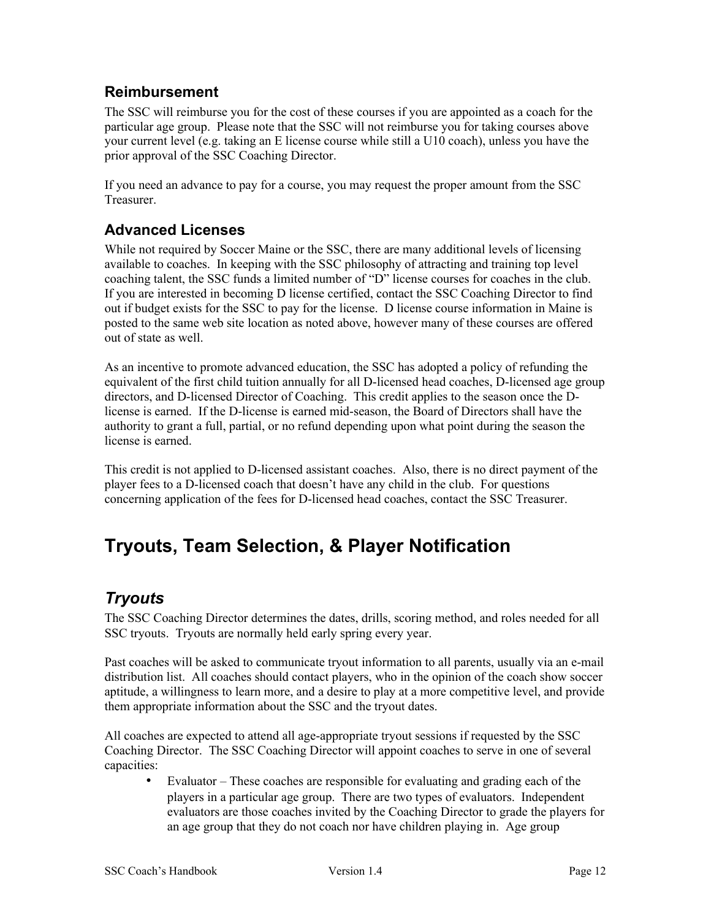#### <span id="page-11-3"></span>**Reimbursement**

The SSC will reimburse you for the cost of these courses if you are appointed as a coach for the particular age group. Please note that the SSC will not reimburse you for taking courses above your current level (e.g. taking an E license course while still a U10 coach), unless you have the prior approval of the SSC Coaching Director.

If you need an advance to pay for a course, you may request the proper amount from the SSC Treasurer.

#### <span id="page-11-2"></span>**Advanced Licenses**

While not required by Soccer Maine or the SSC, there are many additional levels of licensing available to coaches. In keeping with the SSC philosophy of attracting and training top level coaching talent, the SSC funds a limited number of "D" license courses for coaches in the club. If you are interested in becoming D license certified, contact the SSC Coaching Director to find out if budget exists for the SSC to pay for the license. D license course information in Maine is posted to the same web site location as noted above, however many of these courses are offered out of state as well.

As an incentive to promote advanced education, the SSC has adopted a policy of refunding the equivalent of the first child tuition annually for all D-licensed head coaches, D-licensed age group directors, and D-licensed Director of Coaching. This credit applies to the season once the Dlicense is earned. If the D-license is earned mid-season, the Board of Directors shall have the authority to grant a full, partial, or no refund depending upon what point during the season the license is earned.

This credit is not applied to D-licensed assistant coaches. Also, there is no direct payment of the player fees to a D-licensed coach that doesn't have any child in the club. For questions concerning application of the fees for D-licensed head coaches, contact the SSC Treasurer.

# <span id="page-11-1"></span>**Tryouts, Team Selection, & Player Notification**

## <span id="page-11-0"></span>*Tryouts*

The SSC Coaching Director determines the dates, drills, scoring method, and roles needed for all SSC tryouts. Tryouts are normally held early spring every year.

Past coaches will be asked to communicate tryout information to all parents, usually via an e-mail distribution list. All coaches should contact players, who in the opinion of the coach show soccer aptitude, a willingness to learn more, and a desire to play at a more competitive level, and provide them appropriate information about the SSC and the tryout dates.

All coaches are expected to attend all age-appropriate tryout sessions if requested by the SSC Coaching Director. The SSC Coaching Director will appoint coaches to serve in one of several capacities:

• Evaluator – These coaches are responsible for evaluating and grading each of the players in a particular age group. There are two types of evaluators. Independent evaluators are those coaches invited by the Coaching Director to grade the players for an age group that they do not coach nor have children playing in. Age group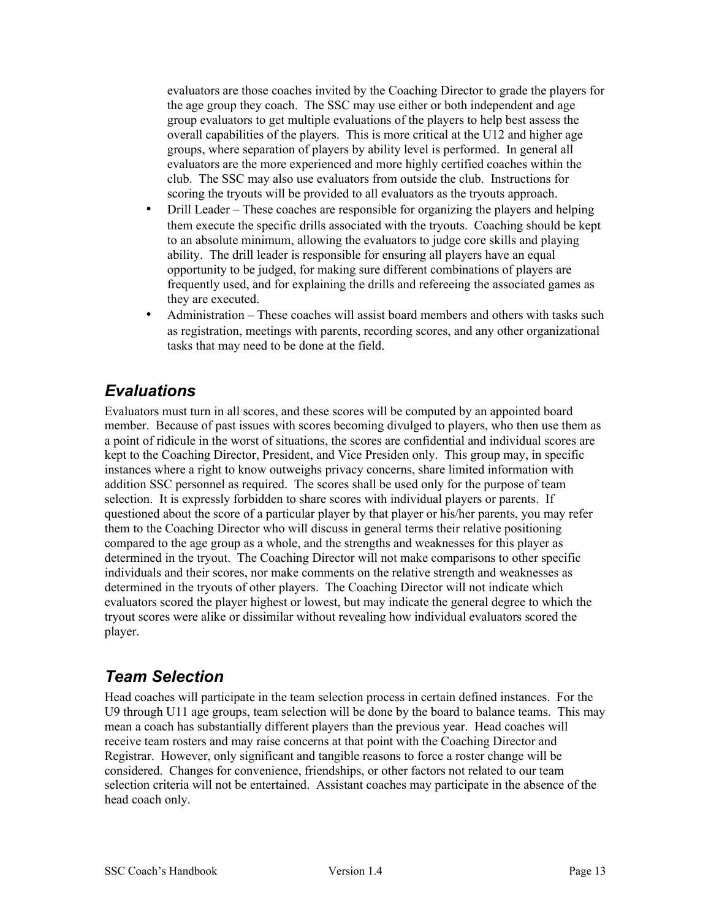evaluators are those coaches invited by the Coaching Director to grade the players for the age group they coach. The SSC may use either or both independent and age group evaluators to get multiple evaluations of the players to help best assess the overall capabilities of the players. This is more critical at the U12 and higher age groups, where separation of players by ability level is performed. In general all evaluators are the more experienced and more highly certified coaches within the club. The SSC may also use evaluators from outside the club. Instructions for scoring the tryouts will be provided to all evaluators as the tryouts approach.

- Drill Leader These coaches are responsible for organizing the players and helping them execute the specific drills associated with the tryouts. Coaching should be kept to an absolute minimum, allowing the evaluators to judge core skills and playing ability. The drill leader is responsible for ensuring all players have an equal opportunity to be judged, for making sure different combinations of players are frequently used, and for explaining the drills and refereeing the associated games as they are executed.
- Administration These coaches will assist board members and others with tasks such as registration, meetings with parents, recording scores, and any other organizational tasks that may need to be done at the field.

## <span id="page-12-1"></span>*Evaluations*

Evaluators must turn in all scores, and these scores will be computed by an appointed board member. Because of past issues with scores becoming divulged to players, who then use them as a point of ridicule in the worst of situations, the scores are confidential and individual scores are kept to the Coaching Director, President, and Vice Presiden only. This group may, in specific instances where a right to know outweighs privacy concerns, share limited information with addition SSC personnel as required. The scores shall be used only for the purpose of team selection. It is expressly forbidden to share scores with individual players or parents. If questioned about the score of a particular player by that player or his/her parents, you may refer them to the Coaching Director who will discuss in general terms their relative positioning compared to the age group as a whole, and the strengths and weaknesses for this player as determined in the tryout. The Coaching Director will not make comparisons to other specific individuals and their scores, nor make comments on the relative strength and weaknesses as determined in the tryouts of other players. The Coaching Director will not indicate which evaluators scored the player highest or lowest, but may indicate the general degree to which the tryout scores were alike or dissimilar without revealing how individual evaluators scored the player.

## <span id="page-12-0"></span>*Team Selection*

Head coaches will participate in the team selection process in certain defined instances. For the U9 through U11 age groups, team selection will be done by the board to balance teams. This may mean a coach has substantially different players than the previous year. Head coaches will receive team rosters and may raise concerns at that point with the Coaching Director and Registrar. However, only significant and tangible reasons to force a roster change will be considered. Changes for convenience, friendships, or other factors not related to our team selection criteria will not be entertained. Assistant coaches may participate in the absence of the head coach only.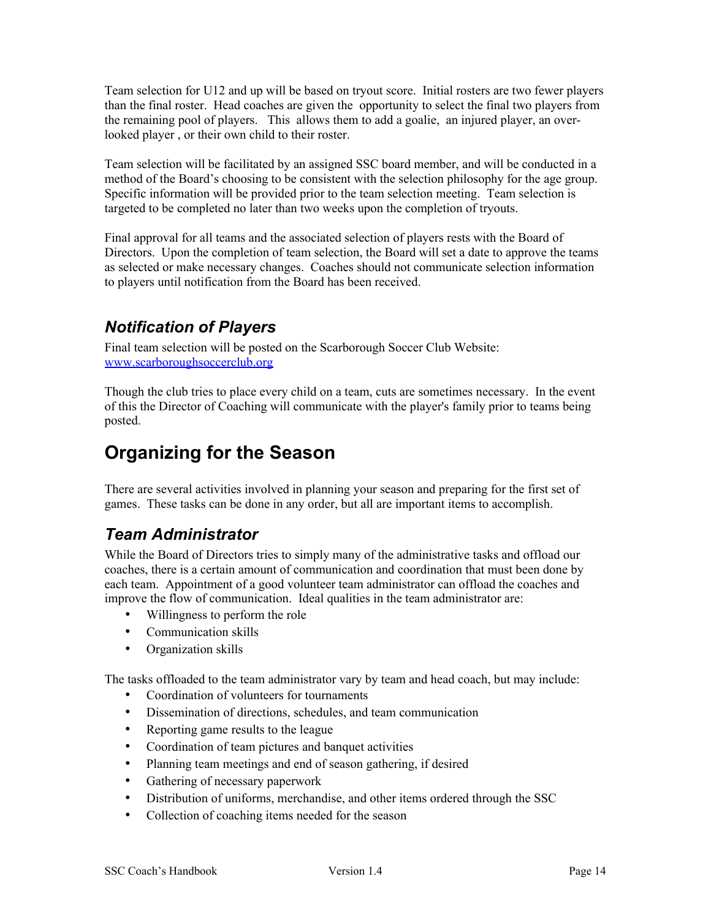Team selection for U12 and up will be based on tryout score. Initial rosters are two fewer players than the final roster. Head coaches are given the opportunity to select the final two players from the remaining pool of players. This allows them to add a goalie, an injured player, an overlooked player , or their own child to their roster.

Team selection will be facilitated by an assigned SSC board member, and will be conducted in a method of the Board's choosing to be consistent with the selection philosophy for the age group. Specific information will be provided prior to the team selection meeting. Team selection is targeted to be completed no later than two weeks upon the completion of tryouts.

Final approval for all teams and the associated selection of players rests with the Board of Directors. Upon the completion of team selection, the Board will set a date to approve the teams as selected or make necessary changes. Coaches should not communicate selection information to players until notification from the Board has been received.

#### <span id="page-13-2"></span>*Notification of Players*

Final team selection will be posted on the Scarborough Soccer Club Website: [www.scarboroughsoccerclub.org](http://www.scarboroughsoccerclub.org/)

Though the club tries to place every child on a team, cuts are sometimes necessary. In the event of this the Director of Coaching will communicate with the player's family prior to teams being posted.

# <span id="page-13-1"></span>**Organizing for the Season**

There are several activities involved in planning your season and preparing for the first set of games. These tasks can be done in any order, but all are important items to accomplish.

## <span id="page-13-0"></span>*Team Administrator*

While the Board of Directors tries to simply many of the administrative tasks and offload our coaches, there is a certain amount of communication and coordination that must been done by each team. Appointment of a good volunteer team administrator can offload the coaches and improve the flow of communication. Ideal qualities in the team administrator are:

- Willingness to perform the role
- Communication skills
- Organization skills

The tasks offloaded to the team administrator vary by team and head coach, but may include:

- Coordination of volunteers for tournaments
- Dissemination of directions, schedules, and team communication
- Reporting game results to the league
- Coordination of team pictures and banquet activities
- Planning team meetings and end of season gathering, if desired
- Gathering of necessary paperwork
- Distribution of uniforms, merchandise, and other items ordered through the SSC
- Collection of coaching items needed for the season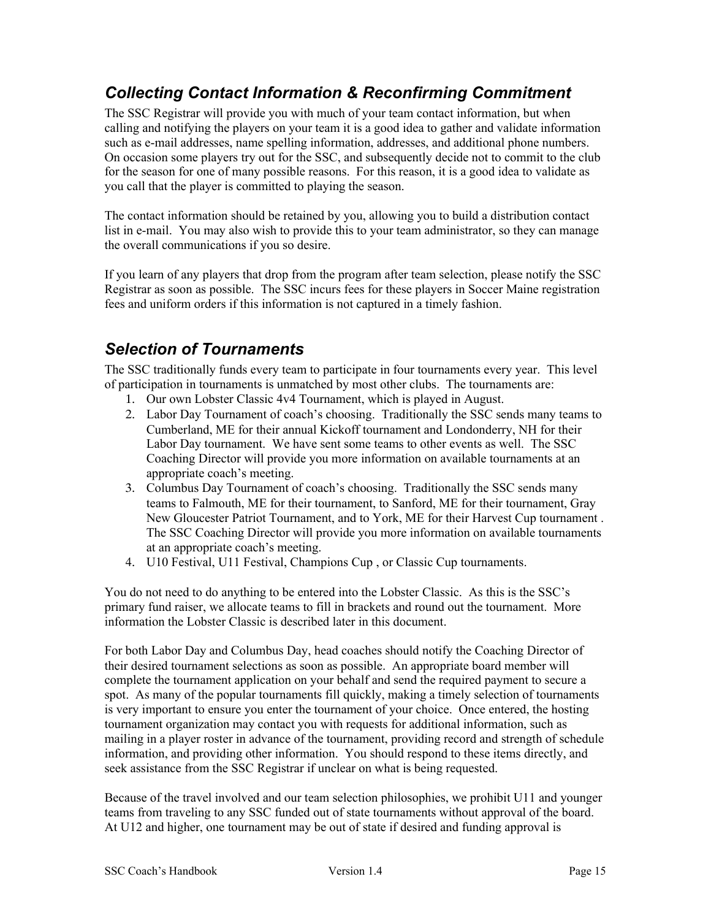## <span id="page-14-1"></span>*Collecting Contact Information & Reconfirming Commitment*

The SSC Registrar will provide you with much of your team contact information, but when calling and notifying the players on your team it is a good idea to gather and validate information such as e-mail addresses, name spelling information, addresses, and additional phone numbers. On occasion some players try out for the SSC, and subsequently decide not to commit to the club for the season for one of many possible reasons. For this reason, it is a good idea to validate as you call that the player is committed to playing the season.

The contact information should be retained by you, allowing you to build a distribution contact list in e-mail. You may also wish to provide this to your team administrator, so they can manage the overall communications if you so desire.

If you learn of any players that drop from the program after team selection, please notify the SSC Registrar as soon as possible. The SSC incurs fees for these players in Soccer Maine registration fees and uniform orders if this information is not captured in a timely fashion.

#### <span id="page-14-0"></span>*Selection of Tournaments*

The SSC traditionally funds every team to participate in four tournaments every year. This level of participation in tournaments is unmatched by most other clubs. The tournaments are:

- 1. Our own Lobster Classic 4v4 Tournament, which is played in August.
- 2. Labor Day Tournament of coach's choosing. Traditionally the SSC sends many teams to Cumberland, ME for their annual Kickoff tournament and Londonderry, NH for their Labor Day tournament. We have sent some teams to other events as well. The SSC Coaching Director will provide you more information on available tournaments at an appropriate coach's meeting.
- 3. Columbus Day Tournament of coach's choosing. Traditionally the SSC sends many teams to Falmouth, ME for their tournament, to Sanford, ME for their tournament, Gray New Gloucester Patriot Tournament, and to York, ME for their Harvest Cup tournament . The SSC Coaching Director will provide you more information on available tournaments at an appropriate coach's meeting.
- 4. U10 Festival, U11 Festival, Champions Cup , or Classic Cup tournaments.

You do not need to do anything to be entered into the Lobster Classic. As this is the SSC's primary fund raiser, we allocate teams to fill in brackets and round out the tournament. More information the Lobster Classic is described later in this document.

For both Labor Day and Columbus Day, head coaches should notify the Coaching Director of their desired tournament selections as soon as possible. An appropriate board member will complete the tournament application on your behalf and send the required payment to secure a spot. As many of the popular tournaments fill quickly, making a timely selection of tournaments is very important to ensure you enter the tournament of your choice. Once entered, the hosting tournament organization may contact you with requests for additional information, such as mailing in a player roster in advance of the tournament, providing record and strength of schedule information, and providing other information. You should respond to these items directly, and seek assistance from the SSC Registrar if unclear on what is being requested.

Because of the travel involved and our team selection philosophies, we prohibit U11 and younger teams from traveling to any SSC funded out of state tournaments without approval of the board. At U12 and higher, one tournament may be out of state if desired and funding approval is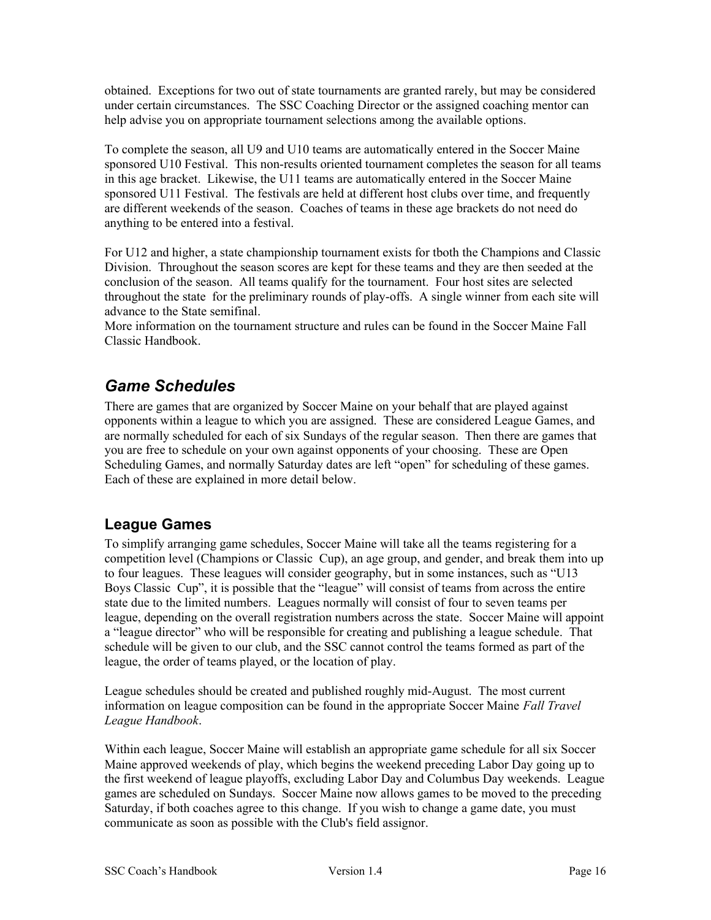obtained. Exceptions for two out of state tournaments are granted rarely, but may be considered under certain circumstances. The SSC Coaching Director or the assigned coaching mentor can help advise you on appropriate tournament selections among the available options.

To complete the season, all U9 and U10 teams are automatically entered in the Soccer Maine sponsored U10 Festival. This non-results oriented tournament completes the season for all teams in this age bracket. Likewise, the U11 teams are automatically entered in the Soccer Maine sponsored U11 Festival. The festivals are held at different host clubs over time, and frequently are different weekends of the season. Coaches of teams in these age brackets do not need do anything to be entered into a festival.

For U12 and higher, a state championship tournament exists for tboth the Champions and Classic Division. Throughout the season scores are kept for these teams and they are then seeded at the conclusion of the season. All teams qualify for the tournament. Four host sites are selected throughout the state for the preliminary rounds of play-offs. A single winner from each site will advance to the State semifinal.

More information on the tournament structure and rules can be found in the Soccer Maine Fall Classic Handbook.

#### <span id="page-15-1"></span>*Game Schedules*

There are games that are organized by Soccer Maine on your behalf that are played against opponents within a league to which you are assigned. These are considered League Games, and are normally scheduled for each of six Sundays of the regular season. Then there are games that you are free to schedule on your own against opponents of your choosing. These are Open Scheduling Games, and normally Saturday dates are left "open" for scheduling of these games. Each of these are explained in more detail below.

#### <span id="page-15-0"></span>**League Games**

To simplify arranging game schedules, Soccer Maine will take all the teams registering for a competition level (Champions or Classic Cup), an age group, and gender, and break them into up to four leagues. These leagues will consider geography, but in some instances, such as "U13 Boys Classic Cup", it is possible that the "league" will consist of teams from across the entire state due to the limited numbers. Leagues normally will consist of four to seven teams per league, depending on the overall registration numbers across the state. Soccer Maine will appoint a "league director" who will be responsible for creating and publishing a league schedule. That schedule will be given to our club, and the SSC cannot control the teams formed as part of the league, the order of teams played, or the location of play.

League schedules should be created and published roughly mid-August. The most current information on league composition can be found in the appropriate Soccer Maine *Fall Travel League Handbook*.

Within each league, Soccer Maine will establish an appropriate game schedule for all six Soccer Maine approved weekends of play, which begins the weekend preceding Labor Day going up to the first weekend of league playoffs, excluding Labor Day and Columbus Day weekends. League games are scheduled on Sundays. Soccer Maine now allows games to be moved to the preceding Saturday, if both coaches agree to this change. If you wish to change a game date, you must communicate as soon as possible with the Club's field assignor.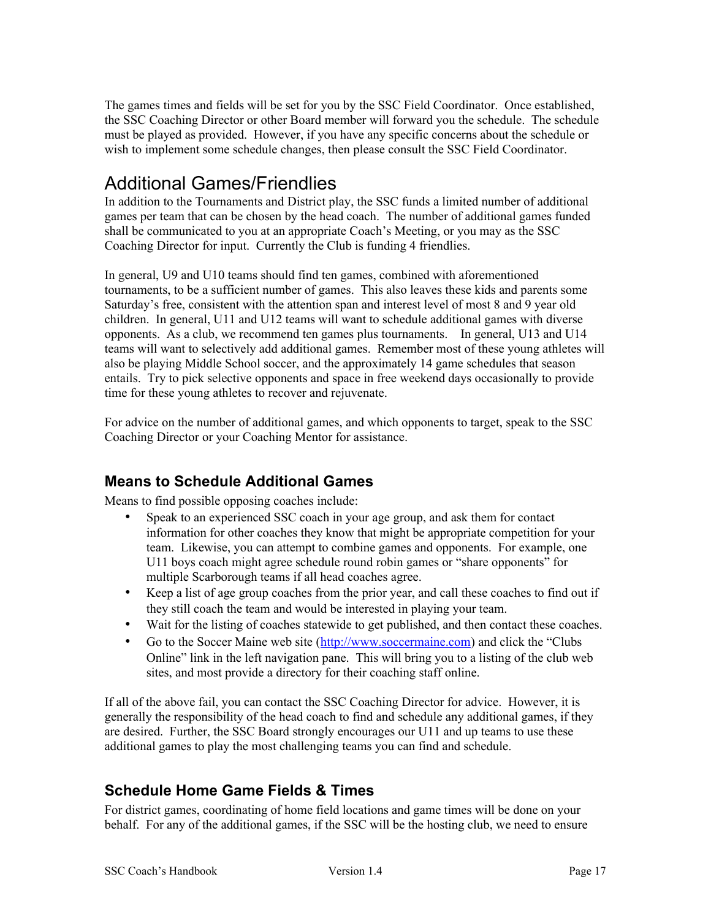The games times and fields will be set for you by the SSC Field Coordinator. Once established, the SSC Coaching Director or other Board member will forward you the schedule. The schedule must be played as provided. However, if you have any specific concerns about the schedule or wish to implement some schedule changes, then please consult the SSC Field Coordinator.

# <span id="page-16-2"></span>Additional Games/Friendlies

In addition to the Tournaments and District play, the SSC funds a limited number of additional games per team that can be chosen by the head coach. The number of additional games funded shall be communicated to you at an appropriate Coach's Meeting, or you may as the SSC Coaching Director for input. Currently the Club is funding 4 friendlies.

In general, U9 and U10 teams should find ten games, combined with aforementioned tournaments, to be a sufficient number of games. This also leaves these kids and parents some Saturday's free, consistent with the attention span and interest level of most 8 and 9 year old children. In general, U11 and U12 teams will want to schedule additional games with diverse opponents. As a club, we recommend ten games plus tournaments. In general, U13 and U14 teams will want to selectively add additional games. Remember most of these young athletes will also be playing Middle School soccer, and the approximately 14 game schedules that season entails. Try to pick selective opponents and space in free weekend days occasionally to provide time for these young athletes to recover and rejuvenate.

For advice on the number of additional games, and which opponents to target, speak to the SSC Coaching Director or your Coaching Mentor for assistance.

#### <span id="page-16-1"></span>**Means to Schedule Additional Games**

Means to find possible opposing coaches include:

- Speak to an experienced SSC coach in your age group, and ask them for contact information for other coaches they know that might be appropriate competition for your team. Likewise, you can attempt to combine games and opponents. For example, one U11 boys coach might agree schedule round robin games or "share opponents" for multiple Scarborough teams if all head coaches agree.
- Keep a list of age group coaches from the prior year, and call these coaches to find out if they still coach the team and would be interested in playing your team.
- Wait for the listing of coaches statewide to get published, and then contact these coaches.
- Go to the Soccer Maine web site [\(http://www.soccermaine.com\)](http://www.soccermaine.com/) and click the "Clubs" Online" link in the left navigation pane. This will bring you to a listing of the club web sites, and most provide a directory for their coaching staff online.

If all of the above fail, you can contact the SSC Coaching Director for advice. However, it is generally the responsibility of the head coach to find and schedule any additional games, if they are desired. Further, the SSC Board strongly encourages our U11 and up teams to use these additional games to play the most challenging teams you can find and schedule.

#### <span id="page-16-0"></span>**Schedule Home Game Fields & Times**

For district games, coordinating of home field locations and game times will be done on your behalf. For any of the additional games, if the SSC will be the hosting club, we need to ensure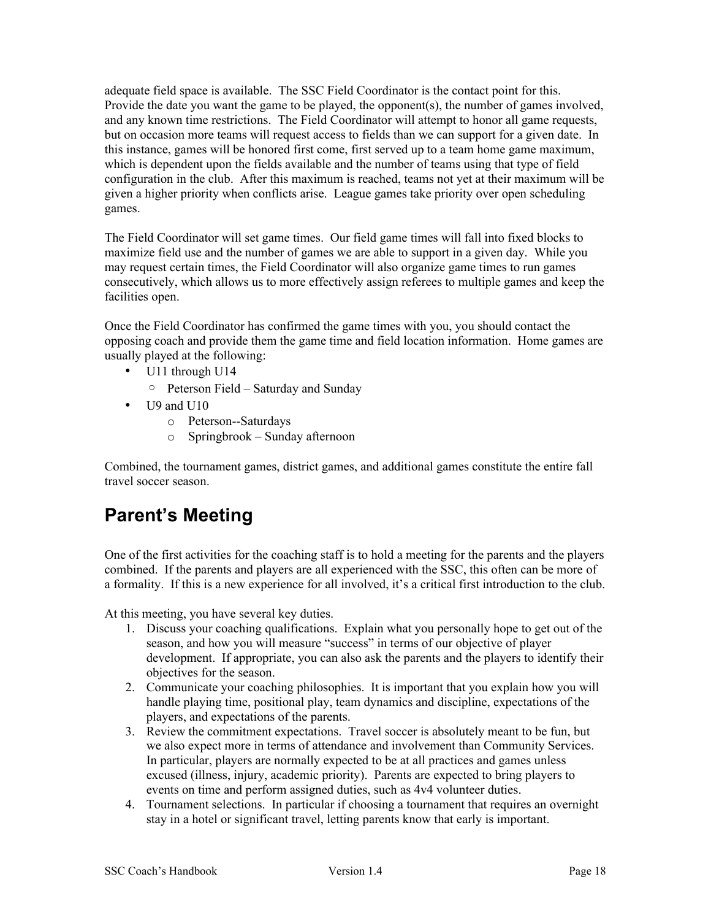adequate field space is available. The SSC Field Coordinator is the contact point for this. Provide the date you want the game to be played, the opponent(s), the number of games involved, and any known time restrictions. The Field Coordinator will attempt to honor all game requests, but on occasion more teams will request access to fields than we can support for a given date. In this instance, games will be honored first come, first served up to a team home game maximum, which is dependent upon the fields available and the number of teams using that type of field configuration in the club. After this maximum is reached, teams not yet at their maximum will be given a higher priority when conflicts arise. League games take priority over open scheduling games.

The Field Coordinator will set game times. Our field game times will fall into fixed blocks to maximize field use and the number of games we are able to support in a given day. While you may request certain times, the Field Coordinator will also organize game times to run games consecutively, which allows us to more effectively assign referees to multiple games and keep the facilities open.

Once the Field Coordinator has confirmed the game times with you, you should contact the opposing coach and provide them the game time and field location information. Home games are usually played at the following:

- U11 through U14
	- Peterson Field Saturday and Sunday
- U9 and U10
	- o Peterson--Saturdays
	- o Springbrook Sunday afternoon

Combined, the tournament games, district games, and additional games constitute the entire fall travel soccer season.

# <span id="page-17-0"></span>**Parent's Meeting**

One of the first activities for the coaching staff is to hold a meeting for the parents and the players combined. If the parents and players are all experienced with the SSC, this often can be more of a formality. If this is a new experience for all involved, it's a critical first introduction to the club.

At this meeting, you have several key duties.

- 1. Discuss your coaching qualifications. Explain what you personally hope to get out of the season, and how you will measure "success" in terms of our objective of player development. If appropriate, you can also ask the parents and the players to identify their objectives for the season.
- 2. Communicate your coaching philosophies. It is important that you explain how you will handle playing time, positional play, team dynamics and discipline, expectations of the players, and expectations of the parents.
- 3. Review the commitment expectations. Travel soccer is absolutely meant to be fun, but we also expect more in terms of attendance and involvement than Community Services. In particular, players are normally expected to be at all practices and games unless excused (illness, injury, academic priority). Parents are expected to bring players to events on time and perform assigned duties, such as 4v4 volunteer duties.
- 4. Tournament selections. In particular if choosing a tournament that requires an overnight stay in a hotel or significant travel, letting parents know that early is important.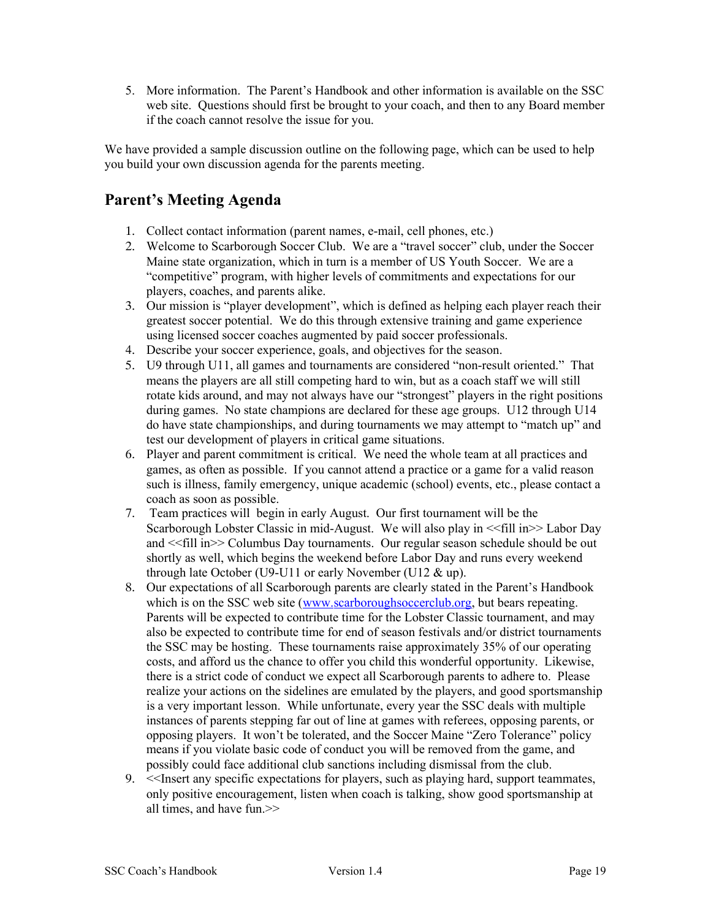5. More information. The Parent's Handbook and other information is available on the SSC web site. Questions should first be brought to your coach, and then to any Board member if the coach cannot resolve the issue for you.

We have provided a sample discussion outline on the following page, which can be used to help you build your own discussion agenda for the parents meeting.

#### **Parent's Meeting Agenda**

- 1. Collect contact information (parent names, e-mail, cell phones, etc.)
- 2. Welcome to Scarborough Soccer Club. We are a "travel soccer" club, under the Soccer Maine state organization, which in turn is a member of US Youth Soccer. We are a "competitive" program, with higher levels of commitments and expectations for our players, coaches, and parents alike.
- 3. Our mission is "player development", which is defined as helping each player reach their greatest soccer potential. We do this through extensive training and game experience using licensed soccer coaches augmented by paid soccer professionals.
- 4. Describe your soccer experience, goals, and objectives for the season.
- 5. U9 through U11, all games and tournaments are considered "non-result oriented." That means the players are all still competing hard to win, but as a coach staff we will still rotate kids around, and may not always have our "strongest" players in the right positions during games. No state champions are declared for these age groups. U12 through U14 do have state championships, and during tournaments we may attempt to "match up" and test our development of players in critical game situations.
- 6. Player and parent commitment is critical. We need the whole team at all practices and games, as often as possible. If you cannot attend a practice or a game for a valid reason such is illness, family emergency, unique academic (school) events, etc., please contact a coach as soon as possible.
- 7. Team practices will begin in early August. Our first tournament will be the Scarborough Lobster Classic in mid-August. We will also play in <<fill in>> Labor Day and <<fill in>> Columbus Day tournaments. Our regular season schedule should be out shortly as well, which begins the weekend before Labor Day and runs every weekend through late October (U9-U11 or early November (U12 & up).
- 8. Our expectations of all Scarborough parents are clearly stated in the Parent's Handbook which is on the SSC web site (www.scarboroughsoccerclub.org, but bears repeating. Parents will be expected to contribute time for the Lobster Classic tournament, and may also be expected to contribute time for end of season festivals and/or district tournaments the SSC may be hosting. These tournaments raise approximately 35% of our operating costs, and afford us the chance to offer you child this wonderful opportunity. Likewise, there is a strict code of conduct we expect all Scarborough parents to adhere to. Please realize your actions on the sidelines are emulated by the players, and good sportsmanship is a very important lesson. While unfortunate, every year the SSC deals with multiple instances of parents stepping far out of line at games with referees, opposing parents, or opposing players. It won't be tolerated, and the Soccer Maine "Zero Tolerance" policy means if you violate basic code of conduct you will be removed from the game, and possibly could face additional club sanctions including dismissal from the club.
- 9. <<Insert any specific expectations for players, such as playing hard, support teammates, only positive encouragement, listen when coach is talking, show good sportsmanship at all times, and have fun.>>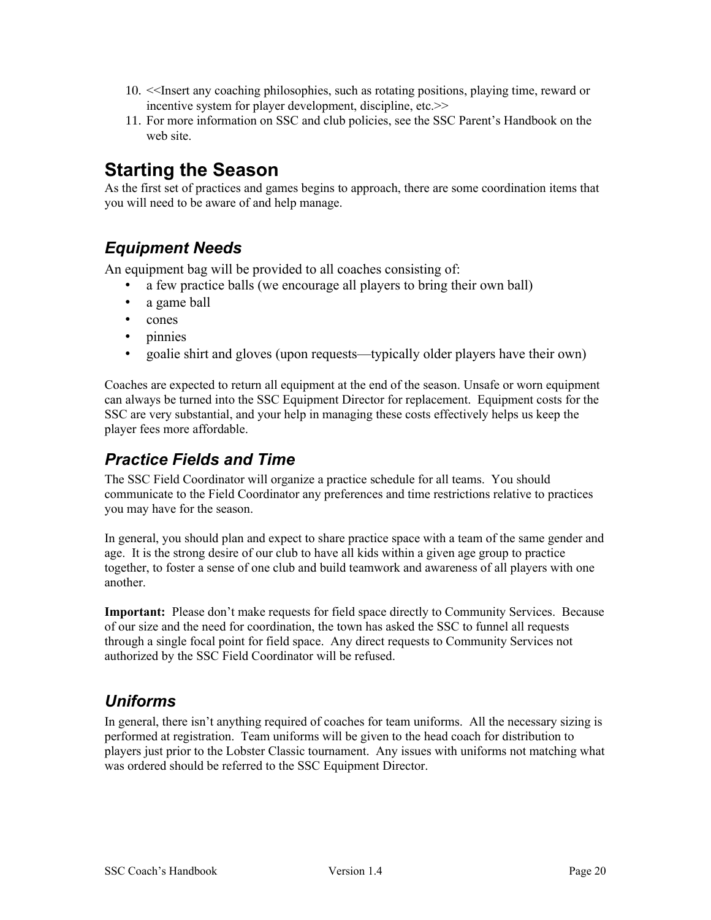- 10. <<Insert any coaching philosophies, such as rotating positions, playing time, reward or incentive system for player development, discipline, etc.>>
- 11. For more information on SSC and club policies, see the SSC Parent's Handbook on the web site.

# **Starting the Season**

As the first set of practices and games begins to approach, there are some coordination items that you will need to be aware of and help manage.

#### <span id="page-19-2"></span>*Equipment Needs*

An equipment bag will be provided to all coaches consisting of:

- a few practice balls (we encourage all players to bring their own ball)
- a game ball
- cones
- pinnies
- goalie shirt and gloves (upon requests—typically older players have their own)

Coaches are expected to return all equipment at the end of the season. Unsafe or worn equipment can always be turned into the SSC Equipment Director for replacement. Equipment costs for the SSC are very substantial, and your help in managing these costs effectively helps us keep the player fees more affordable.

#### <span id="page-19-1"></span>*Practice Fields and Time*

The SSC Field Coordinator will organize a practice schedule for all teams. You should communicate to the Field Coordinator any preferences and time restrictions relative to practices you may have for the season.

In general, you should plan and expect to share practice space with a team of the same gender and age. It is the strong desire of our club to have all kids within a given age group to practice together, to foster a sense of one club and build teamwork and awareness of all players with one another.

**Important:** Please don't make requests for field space directly to Community Services. Because of our size and the need for coordination, the town has asked the SSC to funnel all requests through a single focal point for field space. Any direct requests to Community Services not authorized by the SSC Field Coordinator will be refused.

#### <span id="page-19-0"></span>*Uniforms*

In general, there isn't anything required of coaches for team uniforms. All the necessary sizing is performed at registration. Team uniforms will be given to the head coach for distribution to players just prior to the Lobster Classic tournament. Any issues with uniforms not matching what was ordered should be referred to the SSC Equipment Director.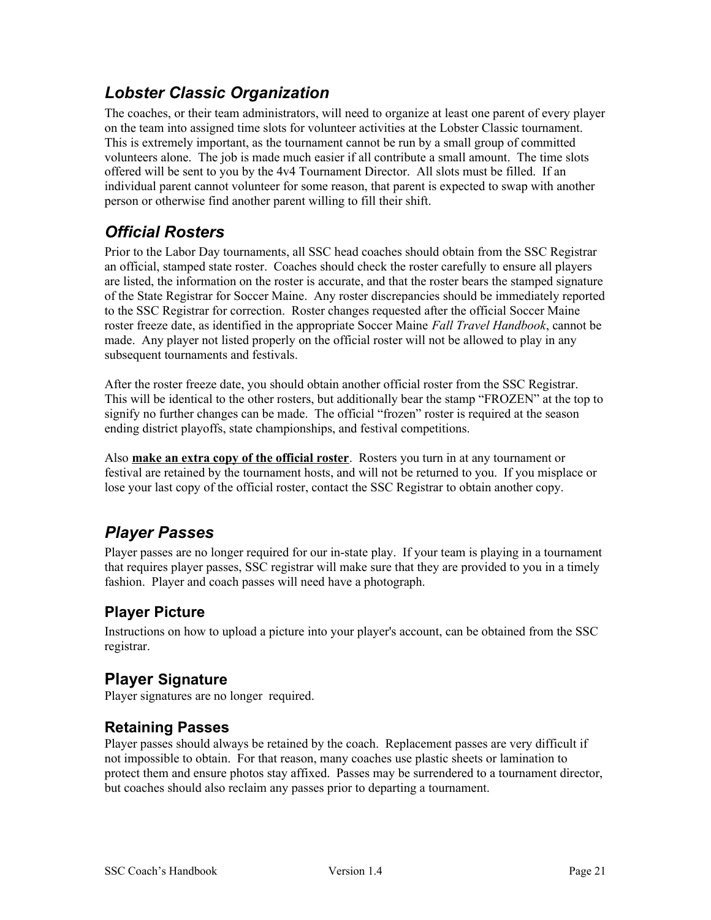## <span id="page-20-1"></span>*Lobster Classic Organization*

The coaches, or their team administrators, will need to organize at least one parent of every player on the team into assigned time slots for volunteer activities at the Lobster Classic tournament. This is extremely important, as the tournament cannot be run by a small group of committed volunteers alone. The job is made much easier if all contribute a small amount. The time slots offered will be sent to you by the 4v4 Tournament Director. All slots must be filled. If an individual parent cannot volunteer for some reason, that parent is expected to swap with another person or otherwise find another parent willing to fill their shift.

#### <span id="page-20-0"></span>*Official Rosters*

Prior to the Labor Day tournaments, all SSC head coaches should obtain from the SSC Registrar an official, stamped state roster. Coaches should check the roster carefully to ensure all players are listed, the information on the roster is accurate, and that the roster bears the stamped signature of the State Registrar for Soccer Maine. Any roster discrepancies should be immediately reported to the SSC Registrar for correction. Roster changes requested after the official Soccer Maine roster freeze date, as identified in the appropriate Soccer Maine *Fall Travel Handbook*, cannot be made. Any player not listed properly on the official roster will not be allowed to play in any subsequent tournaments and festivals.

After the roster freeze date, you should obtain another official roster from the SSC Registrar. This will be identical to the other rosters, but additionally bear the stamp "FROZEN" at the top to signify no further changes can be made. The official "frozen" roster is required at the season ending district playoffs, state championships, and festival competitions.

Also **make an extra copy of the official roster**. Rosters you turn in at any tournament or festival are retained by the tournament hosts, and will not be returned to you. If you misplace or lose your last copy of the official roster, contact the SSC Registrar to obtain another copy.

# <span id="page-20-4"></span>*Player Passes*

Player passes are no longer required for our in-state play. If your team is playing in a tournament that requires player passes, SSC registrar will make sure that they are provided to you in a timely fashion. Player and coach passes will need have a photograph.

#### <span id="page-20-3"></span>**Player Picture**

Instructions on how to upload a picture into your player's account, can be obtained from the SSC registrar.

#### **Player Signature**

Player signatures are no longer required.

#### <span id="page-20-2"></span>**Retaining Passes**

Player passes should always be retained by the coach. Replacement passes are very difficult if not impossible to obtain. For that reason, many coaches use plastic sheets or lamination to protect them and ensure photos stay affixed. Passes may be surrendered to a tournament director, but coaches should also reclaim any passes prior to departing a tournament.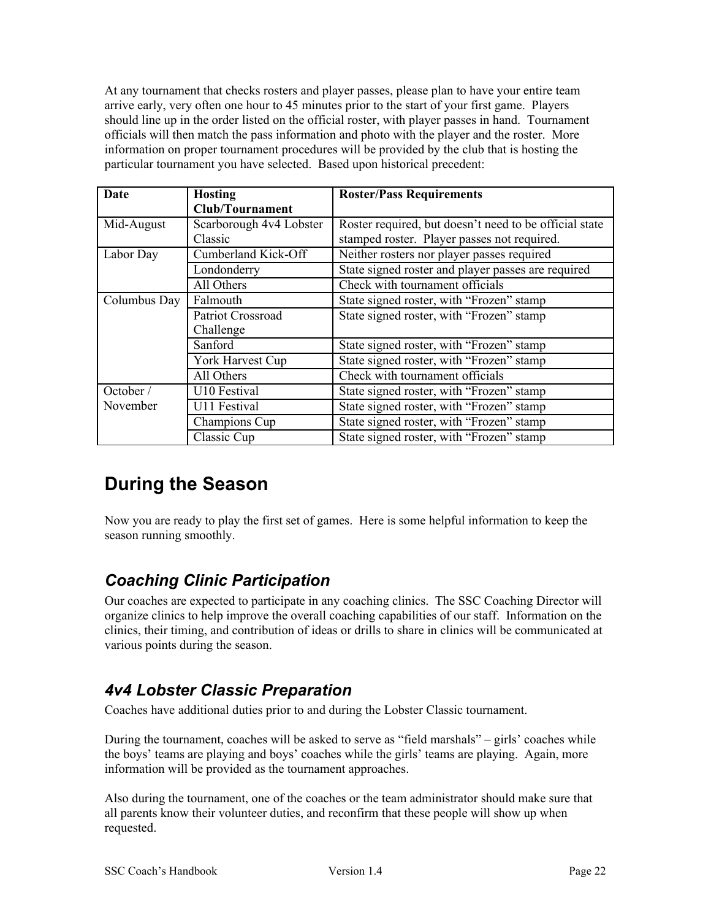At any tournament that checks rosters and player passes, please plan to have your entire team arrive early, very often one hour to 45 minutes prior to the start of your first game. Players should line up in the order listed on the official roster, with player passes in hand. Tournament officials will then match the pass information and photo with the player and the roster. More information on proper tournament procedures will be provided by the club that is hosting the particular tournament you have selected. Based upon historical precedent:

| Date         | <b>Hosting</b>          | <b>Roster/Pass Requirements</b>                        |
|--------------|-------------------------|--------------------------------------------------------|
|              | <b>Club/Tournament</b>  |                                                        |
| Mid-August   | Scarborough 4v4 Lobster | Roster required, but doesn't need to be official state |
|              | Classic                 | stamped roster. Player passes not required.            |
| Labor Day    | Cumberland Kick-Off     | Neither rosters nor player passes required             |
|              | Londonderry             | State signed roster and player passes are required     |
|              | All Others              | Check with tournament officials                        |
| Columbus Day | Falmouth                | State signed roster, with "Frozen" stamp               |
|              | Patriot Crossroad       | State signed roster, with "Frozen" stamp               |
|              | Challenge               |                                                        |
|              | Sanford                 | State signed roster, with "Frozen" stamp               |
|              | York Harvest Cup        | State signed roster, with "Frozen" stamp               |
|              | All Others              | Check with tournament officials                        |
| October /    | U10 Festival            | State signed roster, with "Frozen" stamp               |
| November     | U11 Festival            | State signed roster, with "Frozen" stamp               |
|              | Champions Cup           | State signed roster, with "Frozen" stamp               |
|              | Classic Cup             | State signed roster, with "Frozen" stamp               |

# <span id="page-21-2"></span>**During the Season**

Now you are ready to play the first set of games. Here is some helpful information to keep the season running smoothly.

## <span id="page-21-1"></span>*Coaching Clinic Participation*

Our coaches are expected to participate in any coaching clinics. The SSC Coaching Director will organize clinics to help improve the overall coaching capabilities of our staff. Information on the clinics, their timing, and contribution of ideas or drills to share in clinics will be communicated at various points during the season.

## <span id="page-21-0"></span>*4v4 Lobster Classic Preparation*

Coaches have additional duties prior to and during the Lobster Classic tournament.

During the tournament, coaches will be asked to serve as "field marshals" – girls' coaches while the boys' teams are playing and boys' coaches while the girls' teams are playing. Again, more information will be provided as the tournament approaches.

Also during the tournament, one of the coaches or the team administrator should make sure that all parents know their volunteer duties, and reconfirm that these people will show up when requested.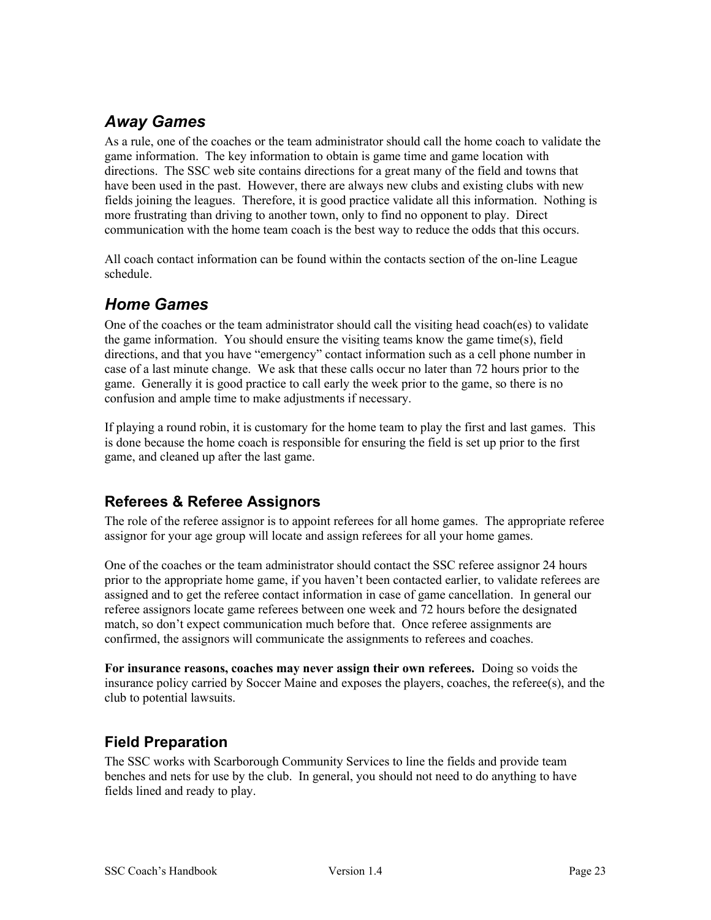## <span id="page-22-3"></span>*Away Games*

As a rule, one of the coaches or the team administrator should call the home coach to validate the game information. The key information to obtain is game time and game location with directions. The SSC web site contains directions for a great many of the field and towns that have been used in the past. However, there are always new clubs and existing clubs with new fields joining the leagues. Therefore, it is good practice validate all this information. Nothing is more frustrating than driving to another town, only to find no opponent to play. Direct communication with the home team coach is the best way to reduce the odds that this occurs.

All coach contact information can be found within the contacts section of the on-line League schedule.

#### <span id="page-22-2"></span>*Home Games*

One of the coaches or the team administrator should call the visiting head coach(es) to validate the game information. You should ensure the visiting teams know the game time(s), field directions, and that you have "emergency" contact information such as a cell phone number in case of a last minute change. We ask that these calls occur no later than 72 hours prior to the game. Generally it is good practice to call early the week prior to the game, so there is no confusion and ample time to make adjustments if necessary.

If playing a round robin, it is customary for the home team to play the first and last games. This is done because the home coach is responsible for ensuring the field is set up prior to the first game, and cleaned up after the last game.

#### <span id="page-22-1"></span>**Referees & Referee Assignors**

The role of the referee assignor is to appoint referees for all home games. The appropriate referee assignor for your age group will locate and assign referees for all your home games.

One of the coaches or the team administrator should contact the SSC referee assignor 24 hours prior to the appropriate home game, if you haven't been contacted earlier, to validate referees are assigned and to get the referee contact information in case of game cancellation. In general our referee assignors locate game referees between one week and 72 hours before the designated match, so don't expect communication much before that. Once referee assignments are confirmed, the assignors will communicate the assignments to referees and coaches.

**For insurance reasons, coaches may never assign their own referees.** Doing so voids the insurance policy carried by Soccer Maine and exposes the players, coaches, the referee(s), and the club to potential lawsuits.

#### <span id="page-22-0"></span>**Field Preparation**

The SSC works with Scarborough Community Services to line the fields and provide team benches and nets for use by the club. In general, you should not need to do anything to have fields lined and ready to play.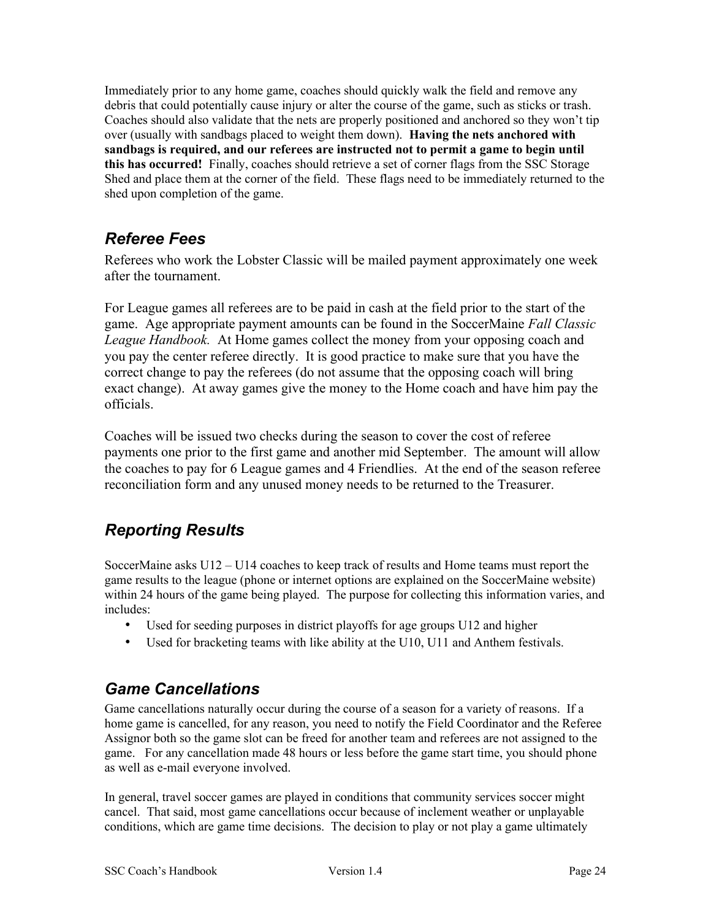Immediately prior to any home game, coaches should quickly walk the field and remove any debris that could potentially cause injury or alter the course of the game, such as sticks or trash. Coaches should also validate that the nets are properly positioned and anchored so they won't tip over (usually with sandbags placed to weight them down). **Having the nets anchored with sandbags is required, and our referees are instructed not to permit a game to begin until this has occurred!** Finally, coaches should retrieve a set of corner flags from the SSC Storage Shed and place them at the corner of the field. These flags need to be immediately returned to the shed upon completion of the game.

## <span id="page-23-2"></span>*Referee Fees*

Referees who work the Lobster Classic will be mailed payment approximately one week after the tournament.

For League games all referees are to be paid in cash at the field prior to the start of the game. Age appropriate payment amounts can be found in the SoccerMaine *Fall Classic League Handbook.* At Home games collect the money from your opposing coach and you pay the center referee directly. It is good practice to make sure that you have the correct change to pay the referees (do not assume that the opposing coach will bring exact change). At away games give the money to the Home coach and have him pay the officials.

Coaches will be issued two checks during the season to cover the cost of referee payments one prior to the first game and another mid September. The amount will allow the coaches to pay for 6 League games and 4 Friendlies. At the end of the season referee reconciliation form and any unused money needs to be returned to the Treasurer.

# <span id="page-23-1"></span>*Reporting Results*

SoccerMaine asks U12 – U14 coaches to keep track of results and Home teams must report the game results to the league (phone or internet options are explained on the SoccerMaine website) within 24 hours of the game being played. The purpose for collecting this information varies, and includes:

- Used for seeding purposes in district playoffs for age groups U12 and higher
- Used for bracketing teams with like ability at the U10, U11 and Anthem festivals.

## <span id="page-23-0"></span>*Game Cancellations*

Game cancellations naturally occur during the course of a season for a variety of reasons. If a home game is cancelled, for any reason, you need to notify the Field Coordinator and the Referee Assignor both so the game slot can be freed for another team and referees are not assigned to the game. For any cancellation made 48 hours or less before the game start time, you should phone as well as e-mail everyone involved.

In general, travel soccer games are played in conditions that community services soccer might cancel. That said, most game cancellations occur because of inclement weather or unplayable conditions, which are game time decisions. The decision to play or not play a game ultimately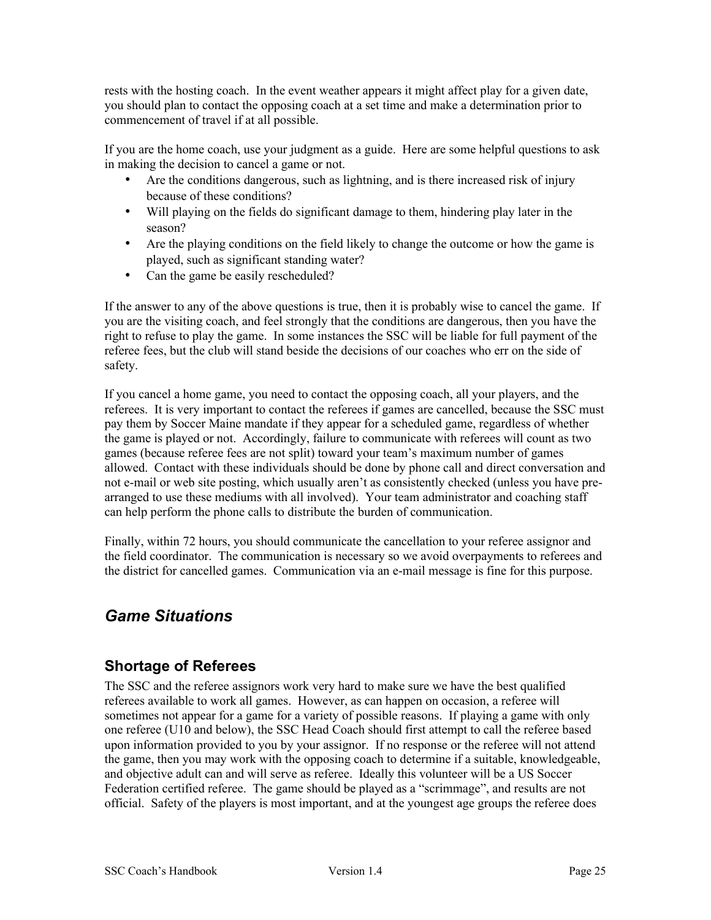rests with the hosting coach. In the event weather appears it might affect play for a given date, you should plan to contact the opposing coach at a set time and make a determination prior to commencement of travel if at all possible.

If you are the home coach, use your judgment as a guide. Here are some helpful questions to ask in making the decision to cancel a game or not.

- Are the conditions dangerous, such as lightning, and is there increased risk of injury because of these conditions?
- Will playing on the fields do significant damage to them, hindering play later in the season?
- Are the playing conditions on the field likely to change the outcome or how the game is played, such as significant standing water?
- Can the game be easily rescheduled?

If the answer to any of the above questions is true, then it is probably wise to cancel the game. If you are the visiting coach, and feel strongly that the conditions are dangerous, then you have the right to refuse to play the game. In some instances the SSC will be liable for full payment of the referee fees, but the club will stand beside the decisions of our coaches who err on the side of safety.

If you cancel a home game, you need to contact the opposing coach, all your players, and the referees. It is very important to contact the referees if games are cancelled, because the SSC must pay them by Soccer Maine mandate if they appear for a scheduled game, regardless of whether the game is played or not. Accordingly, failure to communicate with referees will count as two games (because referee fees are not split) toward your team's maximum number of games allowed. Contact with these individuals should be done by phone call and direct conversation and not e-mail or web site posting, which usually aren't as consistently checked (unless you have prearranged to use these mediums with all involved). Your team administrator and coaching staff can help perform the phone calls to distribute the burden of communication.

Finally, within 72 hours, you should communicate the cancellation to your referee assignor and the field coordinator. The communication is necessary so we avoid overpayments to referees and the district for cancelled games. Communication via an e-mail message is fine for this purpose.

## <span id="page-24-1"></span>*Game Situations*

#### <span id="page-24-0"></span>**Shortage of Referees**

The SSC and the referee assignors work very hard to make sure we have the best qualified referees available to work all games. However, as can happen on occasion, a referee will sometimes not appear for a game for a variety of possible reasons. If playing a game with only one referee (U10 and below), the SSC Head Coach should first attempt to call the referee based upon information provided to you by your assignor. If no response or the referee will not attend the game, then you may work with the opposing coach to determine if a suitable, knowledgeable, and objective adult can and will serve as referee. Ideally this volunteer will be a US Soccer Federation certified referee. The game should be played as a "scrimmage", and results are not official. Safety of the players is most important, and at the youngest age groups the referee does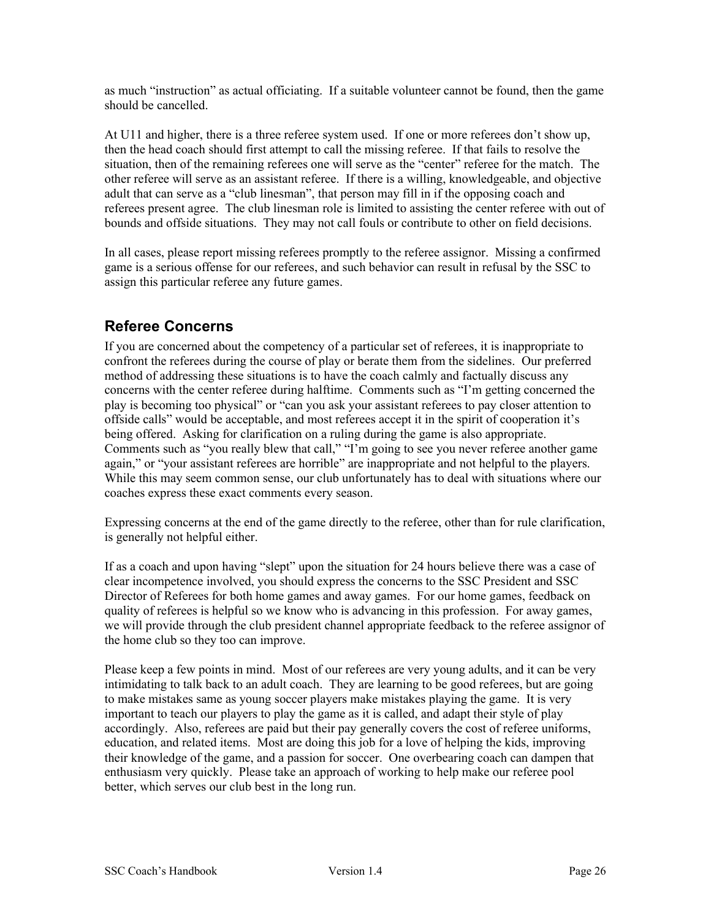as much "instruction" as actual officiating. If a suitable volunteer cannot be found, then the game should be cancelled.

At U11 and higher, there is a three referee system used. If one or more referees don't show up, then the head coach should first attempt to call the missing referee. If that fails to resolve the situation, then of the remaining referees one will serve as the "center" referee for the match. The other referee will serve as an assistant referee. If there is a willing, knowledgeable, and objective adult that can serve as a "club linesman", that person may fill in if the opposing coach and referees present agree. The club linesman role is limited to assisting the center referee with out of bounds and offside situations. They may not call fouls or contribute to other on field decisions.

In all cases, please report missing referees promptly to the referee assignor. Missing a confirmed game is a serious offense for our referees, and such behavior can result in refusal by the SSC to assign this particular referee any future games.

#### <span id="page-25-0"></span>**Referee Concerns**

If you are concerned about the competency of a particular set of referees, it is inappropriate to confront the referees during the course of play or berate them from the sidelines. Our preferred method of addressing these situations is to have the coach calmly and factually discuss any concerns with the center referee during halftime. Comments such as "I'm getting concerned the play is becoming too physical" or "can you ask your assistant referees to pay closer attention to offside calls" would be acceptable, and most referees accept it in the spirit of cooperation it's being offered. Asking for clarification on a ruling during the game is also appropriate. Comments such as "you really blew that call," "I'm going to see you never referee another game again," or "your assistant referees are horrible" are inappropriate and not helpful to the players. While this may seem common sense, our club unfortunately has to deal with situations where our coaches express these exact comments every season.

Expressing concerns at the end of the game directly to the referee, other than for rule clarification, is generally not helpful either.

If as a coach and upon having "slept" upon the situation for 24 hours believe there was a case of clear incompetence involved, you should express the concerns to the SSC President and SSC Director of Referees for both home games and away games. For our home games, feedback on quality of referees is helpful so we know who is advancing in this profession. For away games, we will provide through the club president channel appropriate feedback to the referee assignor of the home club so they too can improve.

Please keep a few points in mind. Most of our referees are very young adults, and it can be very intimidating to talk back to an adult coach. They are learning to be good referees, but are going to make mistakes same as young soccer players make mistakes playing the game. It is very important to teach our players to play the game as it is called, and adapt their style of play accordingly. Also, referees are paid but their pay generally covers the cost of referee uniforms, education, and related items. Most are doing this job for a love of helping the kids, improving their knowledge of the game, and a passion for soccer. One overbearing coach can dampen that enthusiasm very quickly. Please take an approach of working to help make our referee pool better, which serves our club best in the long run.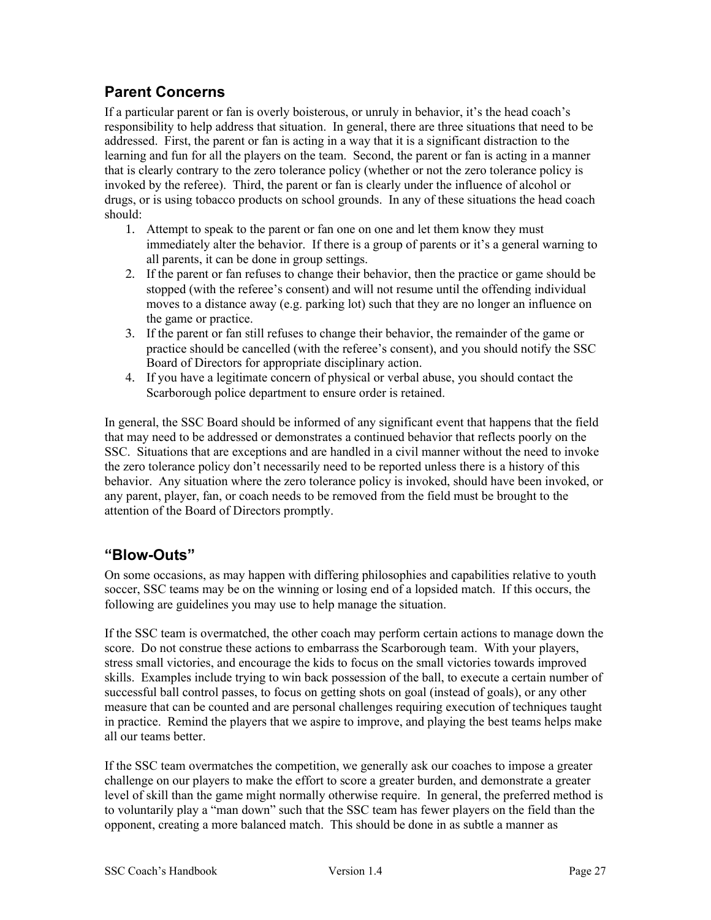#### <span id="page-26-1"></span>**Parent Concerns**

If a particular parent or fan is overly boisterous, or unruly in behavior, it's the head coach's responsibility to help address that situation. In general, there are three situations that need to be addressed. First, the parent or fan is acting in a way that it is a significant distraction to the learning and fun for all the players on the team. Second, the parent or fan is acting in a manner that is clearly contrary to the zero tolerance policy (whether or not the zero tolerance policy is invoked by the referee). Third, the parent or fan is clearly under the influence of alcohol or drugs, or is using tobacco products on school grounds. In any of these situations the head coach should:

- 1. Attempt to speak to the parent or fan one on one and let them know they must immediately alter the behavior. If there is a group of parents or it's a general warning to all parents, it can be done in group settings.
- 2. If the parent or fan refuses to change their behavior, then the practice or game should be stopped (with the referee's consent) and will not resume until the offending individual moves to a distance away (e.g. parking lot) such that they are no longer an influence on the game or practice.
- 3. If the parent or fan still refuses to change their behavior, the remainder of the game or practice should be cancelled (with the referee's consent), and you should notify the SSC Board of Directors for appropriate disciplinary action.
- 4. If you have a legitimate concern of physical or verbal abuse, you should contact the Scarborough police department to ensure order is retained.

In general, the SSC Board should be informed of any significant event that happens that the field that may need to be addressed or demonstrates a continued behavior that reflects poorly on the SSC. Situations that are exceptions and are handled in a civil manner without the need to invoke the zero tolerance policy don't necessarily need to be reported unless there is a history of this behavior. Any situation where the zero tolerance policy is invoked, should have been invoked, or any parent, player, fan, or coach needs to be removed from the field must be brought to the attention of the Board of Directors promptly.

#### <span id="page-26-0"></span>**"Blow-Outs"**

On some occasions, as may happen with differing philosophies and capabilities relative to youth soccer, SSC teams may be on the winning or losing end of a lopsided match. If this occurs, the following are guidelines you may use to help manage the situation.

If the SSC team is overmatched, the other coach may perform certain actions to manage down the score. Do not construe these actions to embarrass the Scarborough team. With your players, stress small victories, and encourage the kids to focus on the small victories towards improved skills. Examples include trying to win back possession of the ball, to execute a certain number of successful ball control passes, to focus on getting shots on goal (instead of goals), or any other measure that can be counted and are personal challenges requiring execution of techniques taught in practice. Remind the players that we aspire to improve, and playing the best teams helps make all our teams better.

If the SSC team overmatches the competition, we generally ask our coaches to impose a greater challenge on our players to make the effort to score a greater burden, and demonstrate a greater level of skill than the game might normally otherwise require. In general, the preferred method is to voluntarily play a "man down" such that the SSC team has fewer players on the field than the opponent, creating a more balanced match. This should be done in as subtle a manner as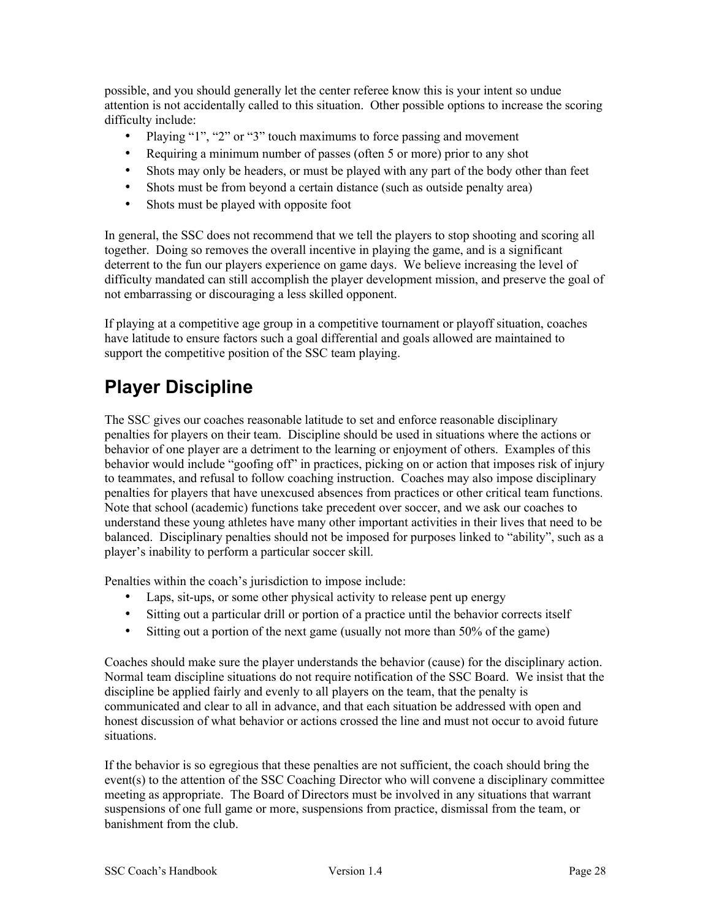possible, and you should generally let the center referee know this is your intent so undue attention is not accidentally called to this situation. Other possible options to increase the scoring difficulty include:

- Playing "1", "2" or "3" touch maximums to force passing and movement
- Requiring a minimum number of passes (often 5 or more) prior to any shot
- Shots may only be headers, or must be played with any part of the body other than feet
- Shots must be from beyond a certain distance (such as outside penalty area)
- Shots must be played with opposite foot

In general, the SSC does not recommend that we tell the players to stop shooting and scoring all together. Doing so removes the overall incentive in playing the game, and is a significant deterrent to the fun our players experience on game days. We believe increasing the level of difficulty mandated can still accomplish the player development mission, and preserve the goal of not embarrassing or discouraging a less skilled opponent.

If playing at a competitive age group in a competitive tournament or playoff situation, coaches have latitude to ensure factors such a goal differential and goals allowed are maintained to support the competitive position of the SSC team playing.

# <span id="page-27-0"></span>**Player Discipline**

The SSC gives our coaches reasonable latitude to set and enforce reasonable disciplinary penalties for players on their team. Discipline should be used in situations where the actions or behavior of one player are a detriment to the learning or enjoyment of others. Examples of this behavior would include "goofing off" in practices, picking on or action that imposes risk of injury to teammates, and refusal to follow coaching instruction. Coaches may also impose disciplinary penalties for players that have unexcused absences from practices or other critical team functions. Note that school (academic) functions take precedent over soccer, and we ask our coaches to understand these young athletes have many other important activities in their lives that need to be balanced. Disciplinary penalties should not be imposed for purposes linked to "ability", such as a player's inability to perform a particular soccer skill.

Penalties within the coach's jurisdiction to impose include:

- Laps, sit-ups, or some other physical activity to release pent up energy
- Sitting out a particular drill or portion of a practice until the behavior corrects itself
- Sitting out a portion of the next game (usually not more than 50% of the game)

Coaches should make sure the player understands the behavior (cause) for the disciplinary action. Normal team discipline situations do not require notification of the SSC Board. We insist that the discipline be applied fairly and evenly to all players on the team, that the penalty is communicated and clear to all in advance, and that each situation be addressed with open and honest discussion of what behavior or actions crossed the line and must not occur to avoid future situations.

If the behavior is so egregious that these penalties are not sufficient, the coach should bring the event(s) to the attention of the SSC Coaching Director who will convene a disciplinary committee meeting as appropriate. The Board of Directors must be involved in any situations that warrant suspensions of one full game or more, suspensions from practice, dismissal from the team, or banishment from the club.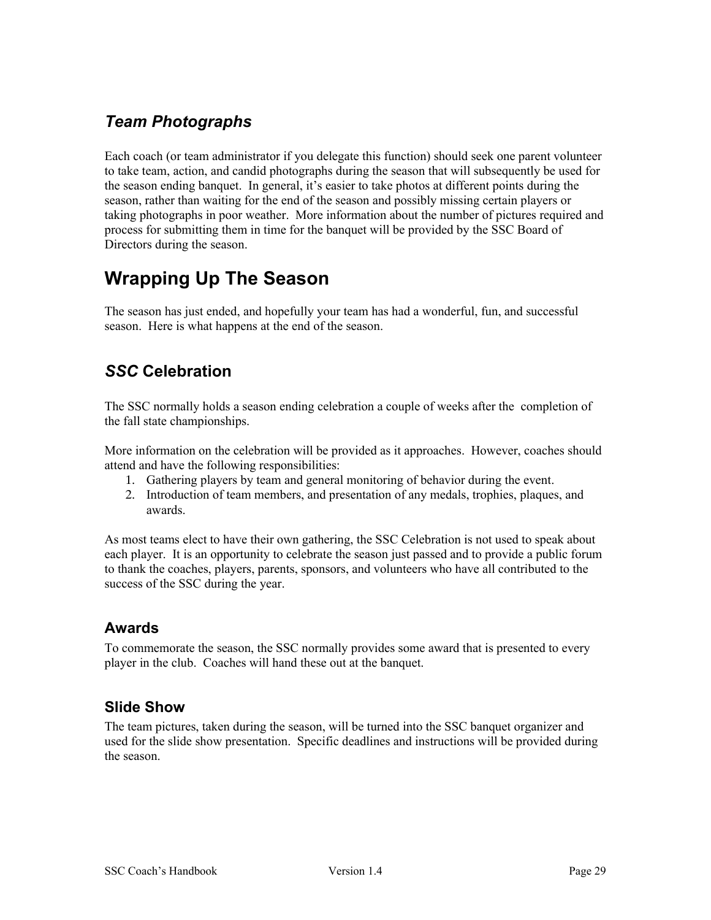#### <span id="page-28-0"></span>*Team Photographs*

Each coach (or team administrator if you delegate this function) should seek one parent volunteer to take team, action, and candid photographs during the season that will subsequently be used for the season ending banquet. In general, it's easier to take photos at different points during the season, rather than waiting for the end of the season and possibly missing certain players or taking photographs in poor weather. More information about the number of pictures required and process for submitting them in time for the banquet will be provided by the SSC Board of Directors during the season.

# <span id="page-28-4"></span>**Wrapping Up The Season**

The season has just ended, and hopefully your team has had a wonderful, fun, and successful season. Here is what happens at the end of the season.

#### <span id="page-28-3"></span>*SSC* **Celebration**

The SSC normally holds a season ending celebration a couple of weeks after the completion of the fall state championships.

More information on the celebration will be provided as it approaches. However, coaches should attend and have the following responsibilities:

- 1. Gathering players by team and general monitoring of behavior during the event.
- 2. Introduction of team members, and presentation of any medals, trophies, plaques, and awards.

As most teams elect to have their own gathering, the SSC Celebration is not used to speak about each player. It is an opportunity to celebrate the season just passed and to provide a public forum to thank the coaches, players, parents, sponsors, and volunteers who have all contributed to the success of the SSC during the year.

#### <span id="page-28-2"></span>**Awards**

To commemorate the season, the SSC normally provides some award that is presented to every player in the club. Coaches will hand these out at the banquet.

#### <span id="page-28-1"></span>**Slide Show**

The team pictures, taken during the season, will be turned into the SSC banquet organizer and used for the slide show presentation. Specific deadlines and instructions will be provided during the season.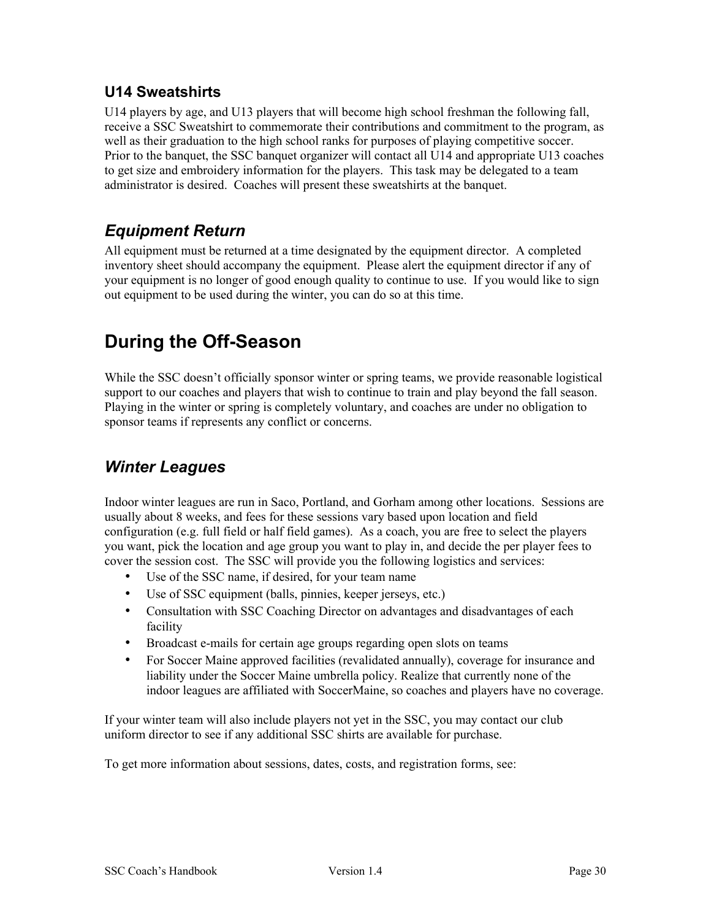#### <span id="page-29-3"></span>**U14 Sweatshirts**

U14 players by age, and U13 players that will become high school freshman the following fall, receive a SSC Sweatshirt to commemorate their contributions and commitment to the program, as well as their graduation to the high school ranks for purposes of playing competitive soccer. Prior to the banquet, the SSC banquet organizer will contact all U14 and appropriate U13 coaches to get size and embroidery information for the players. This task may be delegated to a team administrator is desired. Coaches will present these sweatshirts at the banquet.

## <span id="page-29-2"></span>*Equipment Return*

All equipment must be returned at a time designated by the equipment director. A completed inventory sheet should accompany the equipment. Please alert the equipment director if any of your equipment is no longer of good enough quality to continue to use. If you would like to sign out equipment to be used during the winter, you can do so at this time.

# <span id="page-29-1"></span>**During the Off-Season**

While the SSC doesn't officially sponsor winter or spring teams, we provide reasonable logistical support to our coaches and players that wish to continue to train and play beyond the fall season. Playing in the winter or spring is completely voluntary, and coaches are under no obligation to sponsor teams if represents any conflict or concerns.

## <span id="page-29-0"></span>*Winter Leagues*

Indoor winter leagues are run in Saco, Portland, and Gorham among other locations. Sessions are usually about 8 weeks, and fees for these sessions vary based upon location and field configuration (e.g. full field or half field games). As a coach, you are free to select the players you want, pick the location and age group you want to play in, and decide the per player fees to cover the session cost. The SSC will provide you the following logistics and services:

- Use of the SSC name, if desired, for your team name
- Use of SSC equipment (balls, pinnies, keeper jerseys, etc.)
- Consultation with SSC Coaching Director on advantages and disadvantages of each facility
- Broadcast e-mails for certain age groups regarding open slots on teams
- For Soccer Maine approved facilities (revalidated annually), coverage for insurance and liability under the Soccer Maine umbrella policy. Realize that currently none of the indoor leagues are affiliated with SoccerMaine, so coaches and players have no coverage.

If your winter team will also include players not yet in the SSC, you may contact our club uniform director to see if any additional SSC shirts are available for purchase.

To get more information about sessions, dates, costs, and registration forms, see: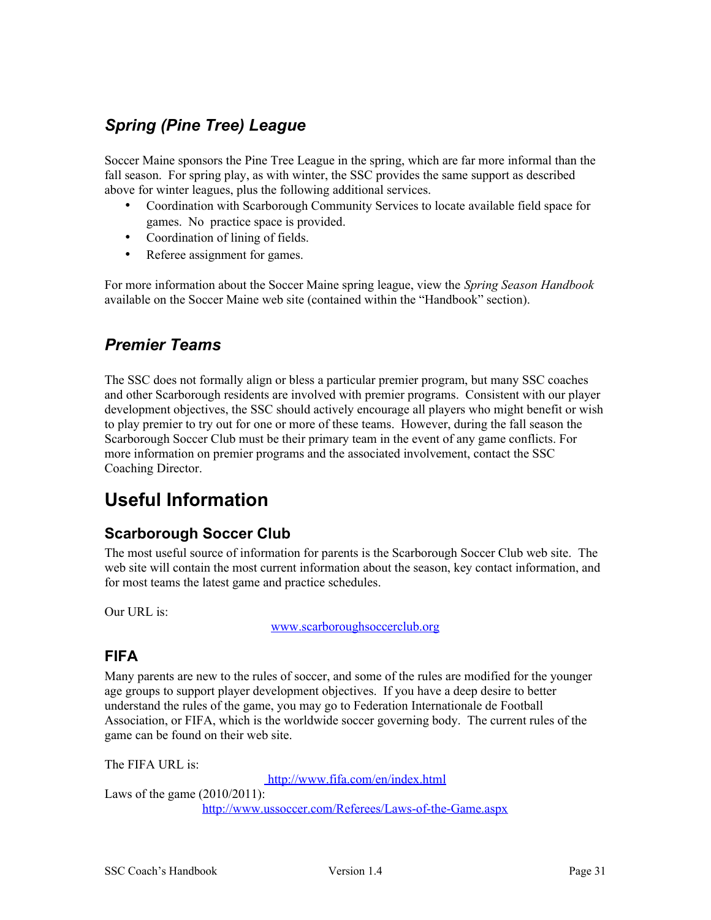### <span id="page-30-4"></span>*Spring (Pine Tree) League*

Soccer Maine sponsors the Pine Tree League in the spring, which are far more informal than the fall season. For spring play, as with winter, the SSC provides the same support as described above for winter leagues, plus the following additional services.

- Coordination with Scarborough Community Services to locate available field space for games. No practice space is provided.
- Coordination of lining of fields.
- Referee assignment for games.

For more information about the Soccer Maine spring league, view the *Spring Season Handbook* available on the Soccer Maine web site (contained within the "Handbook" section).

#### <span id="page-30-3"></span>*Premier Teams*

The SSC does not formally align or bless a particular premier program, but many SSC coaches and other Scarborough residents are involved with premier programs. Consistent with our player development objectives, the SSC should actively encourage all players who might benefit or wish to play premier to try out for one or more of these teams. However, during the fall season the Scarborough Soccer Club must be their primary team in the event of any game conflicts. For more information on premier programs and the associated involvement, contact the SSC Coaching Director.

# <span id="page-30-2"></span>**Useful Information**

#### <span id="page-30-1"></span>**Scarborough Soccer Club**

The most useful source of information for parents is the Scarborough Soccer Club web site. The web site will contain the most current information about the season, key contact information, and for most teams the latest game and practice schedules.

Our URL is:

www.scarboroughsoccerclub.org

#### <span id="page-30-0"></span>**FIFA**

Many parents are new to the rules of soccer, and some of the rules are modified for the younger age groups to support player development objectives. If you have a deep desire to better understand the rules of the game, you may go to Federation Internationale de Football Association, or FIFA, which is the worldwide soccer governing body. The current rules of the game can be found on their web site.

The FIFA URL is:

 [http://www.fifa.com/en/index.html](http://www.fifa.org/)

Laws of the game (2010/2011): <http://www.ussoccer.com/Referees/Laws-of-the-Game.aspx>